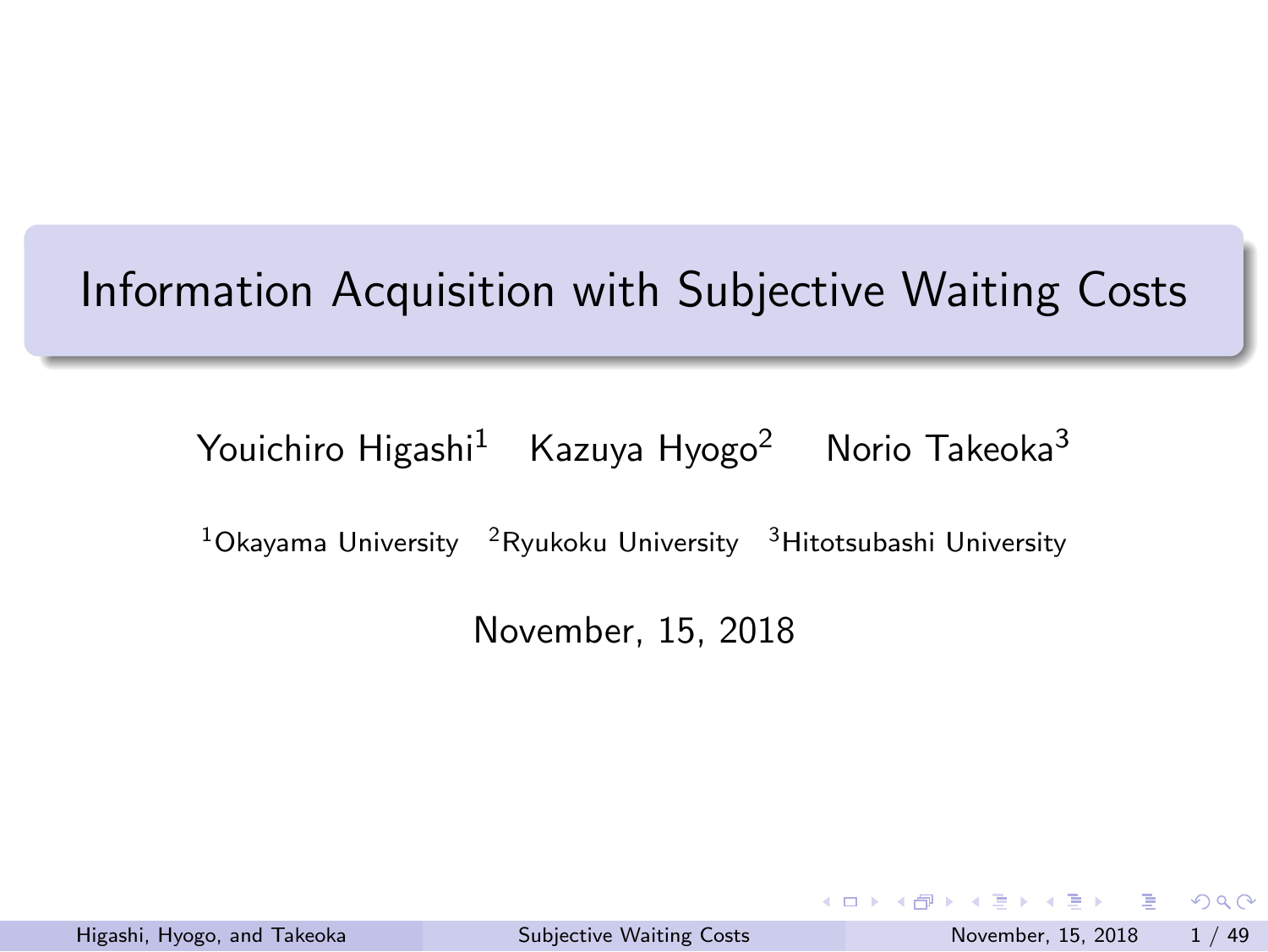# Information Acquisition with Subjective Waiting Costs

Youichiro Higashi<sup>1</sup> Kazuya Hyogo<sup>2</sup> Norio Takeoka<sup>3</sup>

 $^{1}$ Okayama University  $^{-2}$ Ryukoku University  $^{-3}$ Hitotsubashi University

November, 15, 2018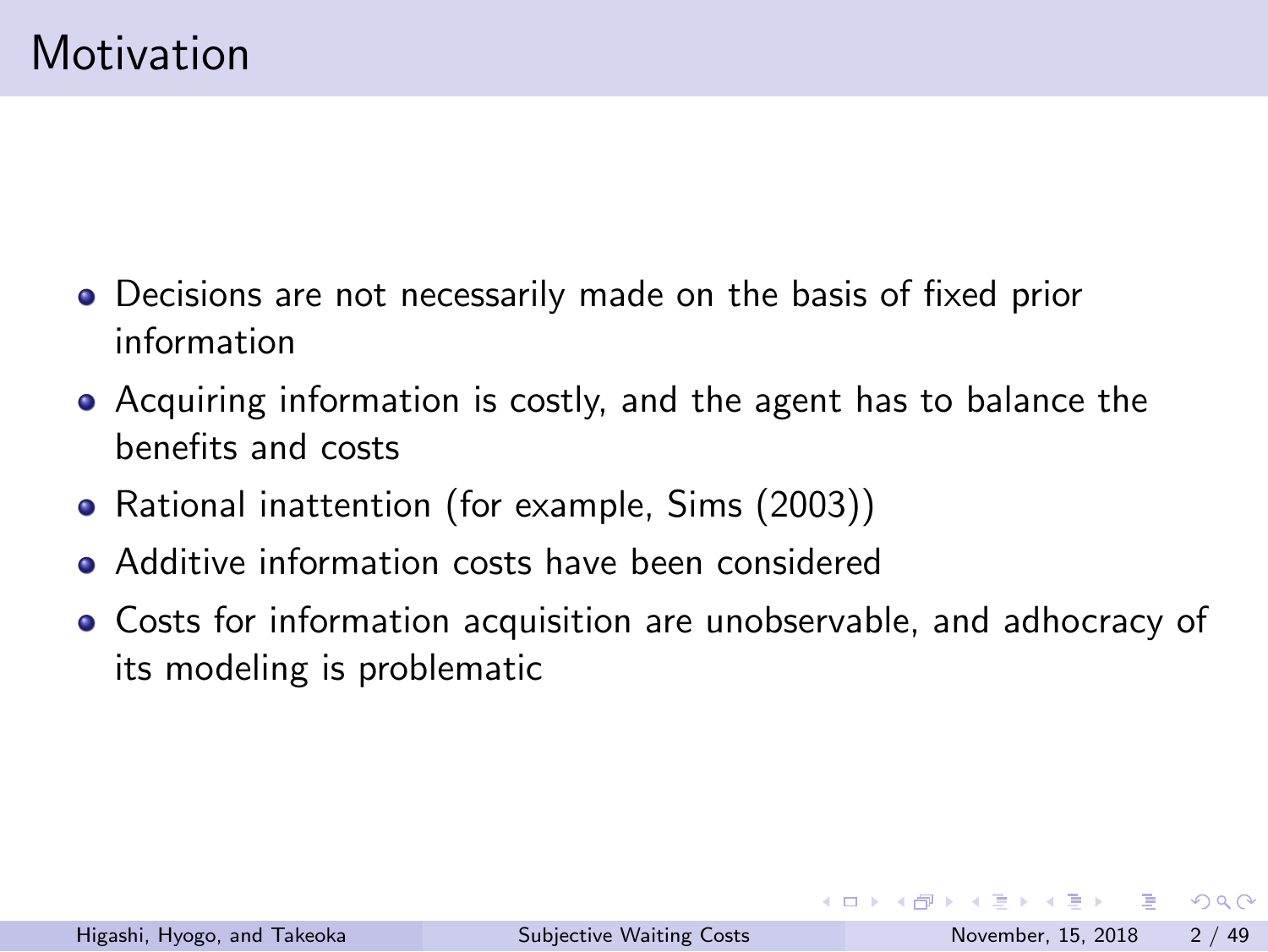## Motivation

- Decisions are not necessarily made on the basis of fixed prior information
- Acquiring information is costly, and the agent has to balance the benefits and costs
- Rational inattention (for example, Sims (2003))
- Additive information costs have been considered
- Costs for information acquisition are unobservable, and adhocracy of its modeling is problematic

KOKK@KKEKKEK E 1990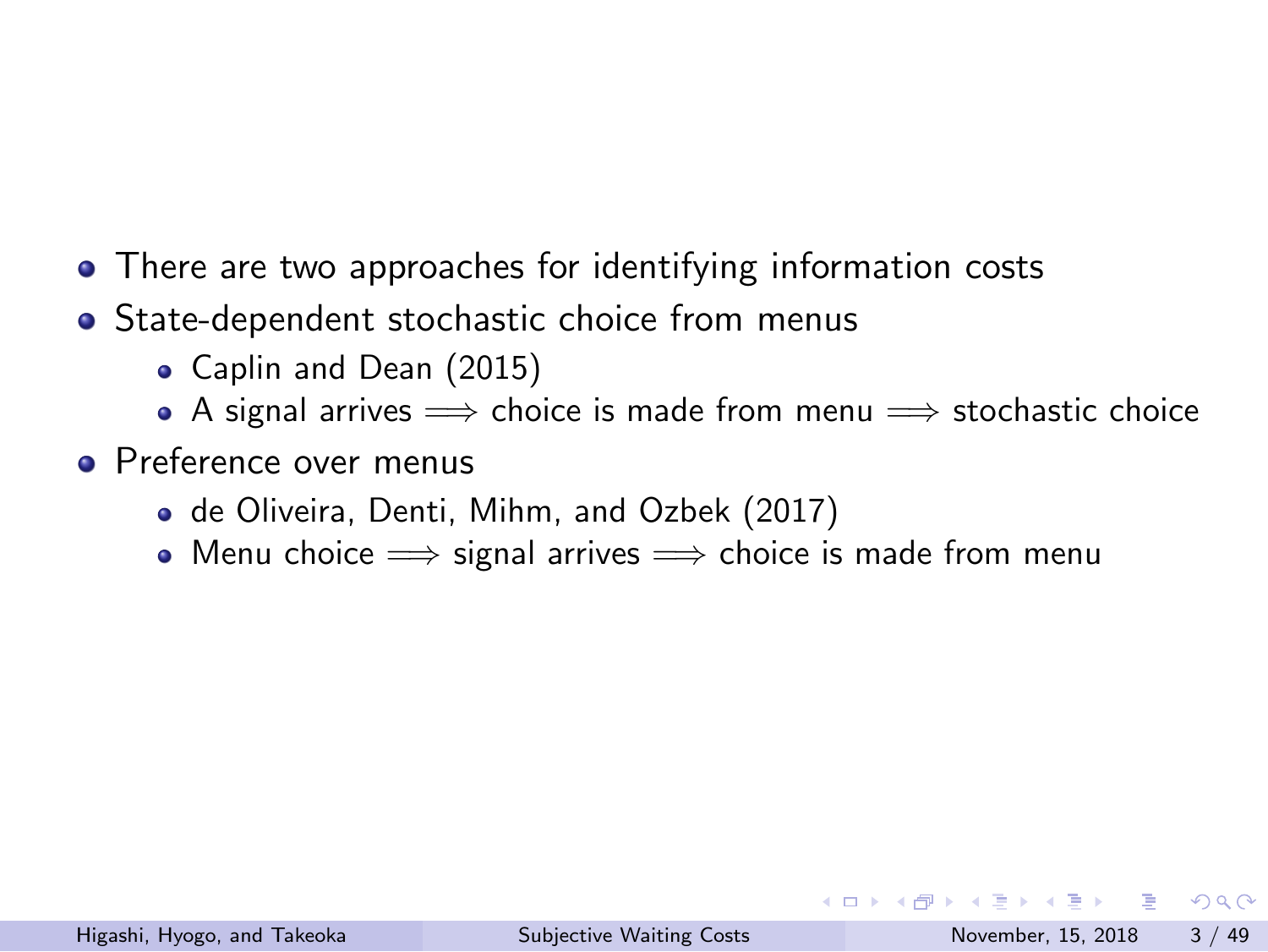- There are two approaches for identifying information costs
- State-dependent stochastic choice from menus
	- Caplin and Dean (2015)
	- A signal arrives =*⇒* choice is made from menu =*⇒* stochastic choice
- **•** Preference over menus
	- de Oliveira, Denti, Mihm, and Ozbek (2017)
	- Menu choice =*⇒* signal arrives =*⇒* choice is made from menu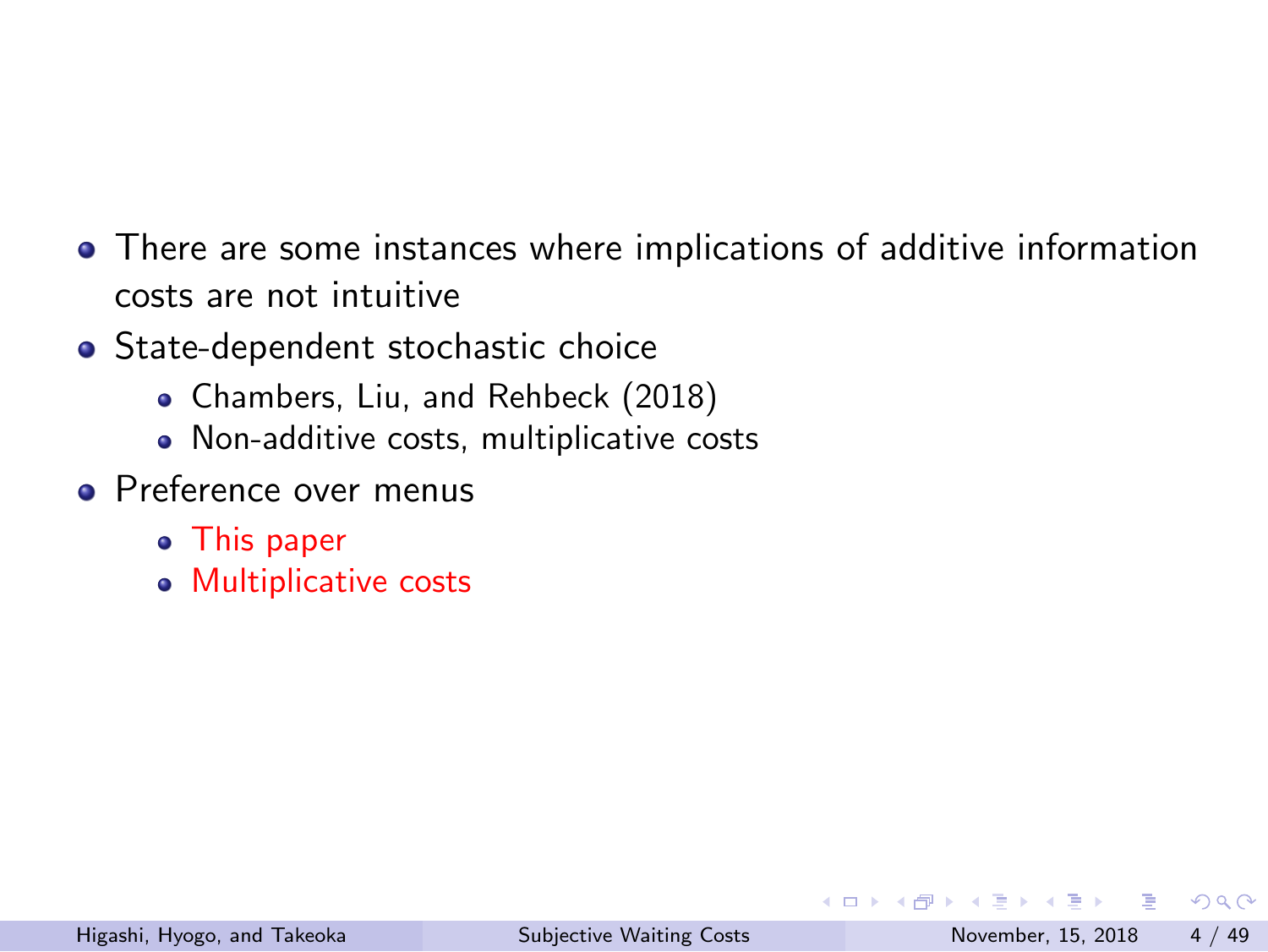- There are some instances where implications of additive information costs are not intuitive
- State-dependent stochastic choice
	- Chambers, Liu, and Rehbeck (2018)
	- Non-additive costs, multiplicative costs
- Preference over menus
	- This paper
	- Multiplicative costs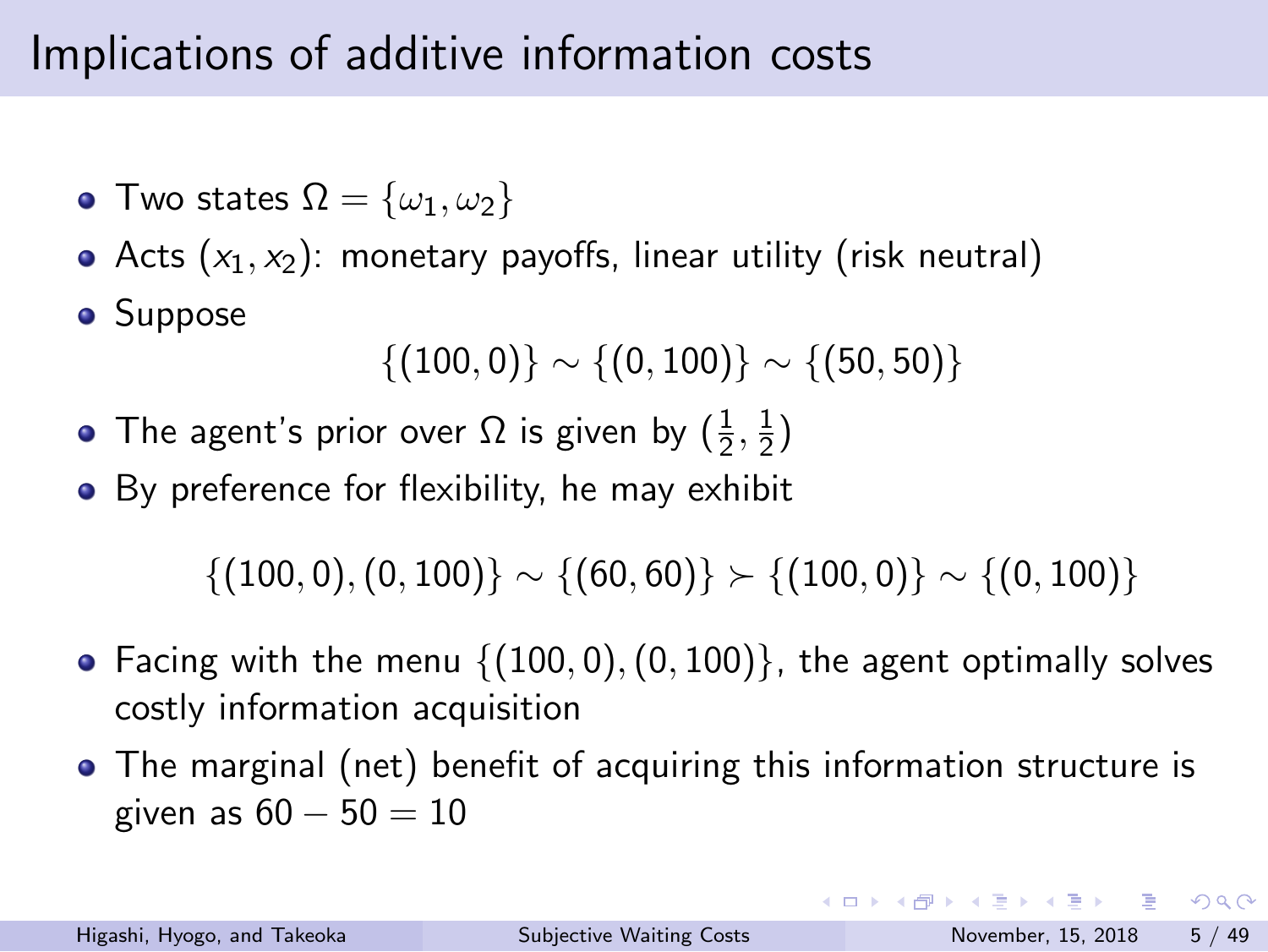## Implications of additive information costs

- Two states  $\Omega = {\omega_1, \omega_2}$
- Acts (*x*1*, x*2): monetary payoffs, linear utility (risk neutral)
- **•** Suppose

$$
\{(100,0)\}\sim\{(0,100)\}\sim\{(50,50)\}
$$

- The agent's prior over  $\Omega$  is given by  $(\frac{1}{2},\frac{1}{2})$  $\frac{1}{2}$
- **•** By preference for flexibility, he may exhibit

*{*(100*,* 0)*,*(0*,* 100)*} ∼ {*(60*,* 60)*} ≻ {*(100*,* 0)*} ∼ {*(0*,* 100)*}*

- Facing with the menu *{*(100*,* 0)*,*(0*,* 100)*}*, the agent optimally solves costly information acquisition
- The marginal (net) benefit of acquiring this information structure is given as 60 *−* 50 = 10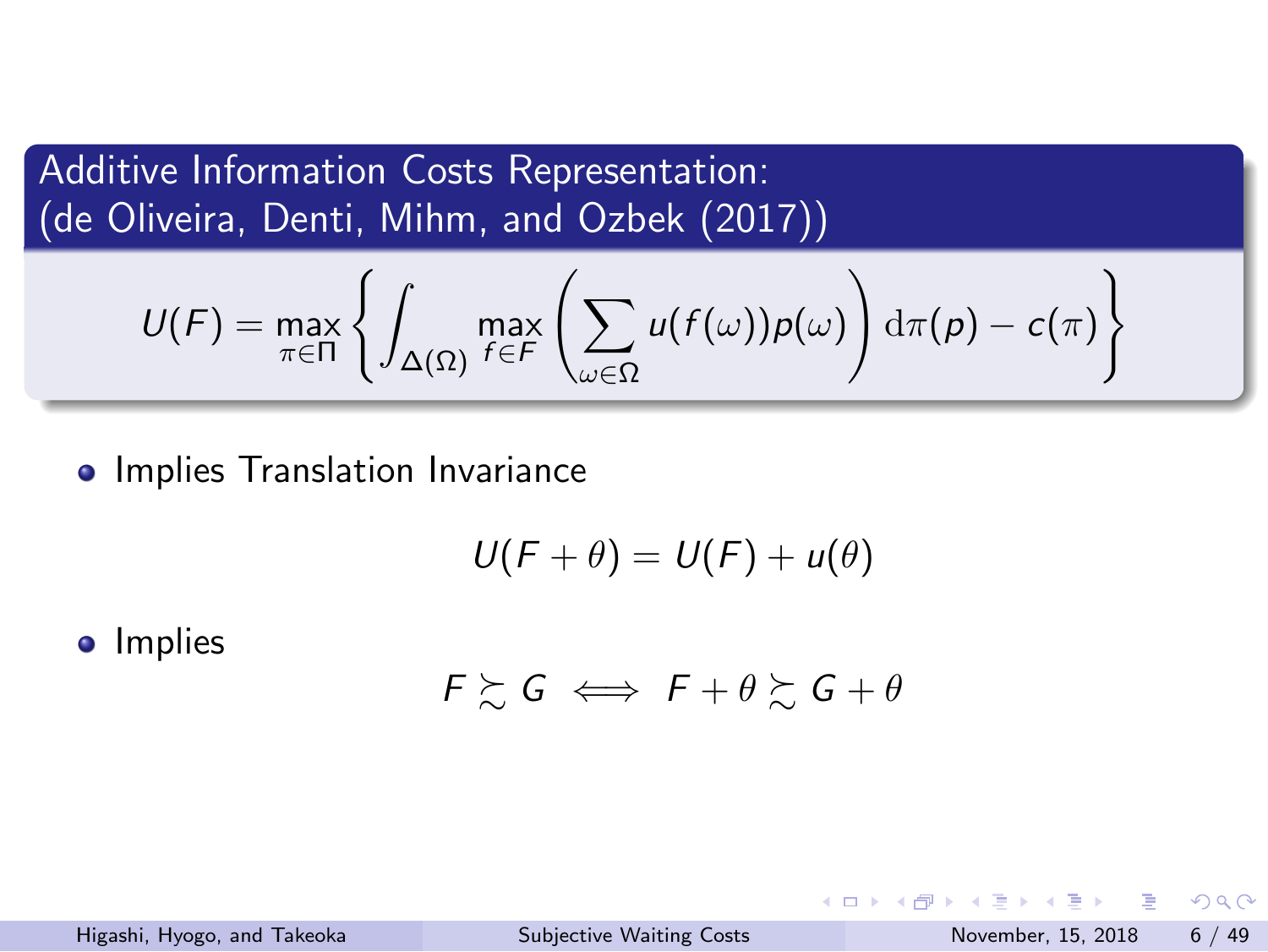Additive Information Costs Representation: (de Oliveira, Denti, Mihm, and Ozbek (2017))

$$
U(F) = \max_{\pi \in \Pi} \left\{ \int_{\Delta(\Omega)} \max_{f \in F} \left( \sum_{\omega \in \Omega} u(f(\omega)) \rho(\omega) \right) d\pi(p) - c(\pi) \right\}
$$

• Implies Translation Invariance

$$
U(F+\theta)=U(F)+u(\theta)
$$

**·** Implies

$$
F \succsim G \iff F + \theta \succsim G + \theta
$$

|                             |                                 | - K □ ▶ K @ ▶ K 로 ▶ K 로 ▶ - 로 - K 9 Q (N |  |
|-----------------------------|---------------------------------|------------------------------------------|--|
| Higashi, Hyogo, and Takeoka | <b>Subjective Waiting Costs</b> | November, 15, 2018 6 / 49                |  |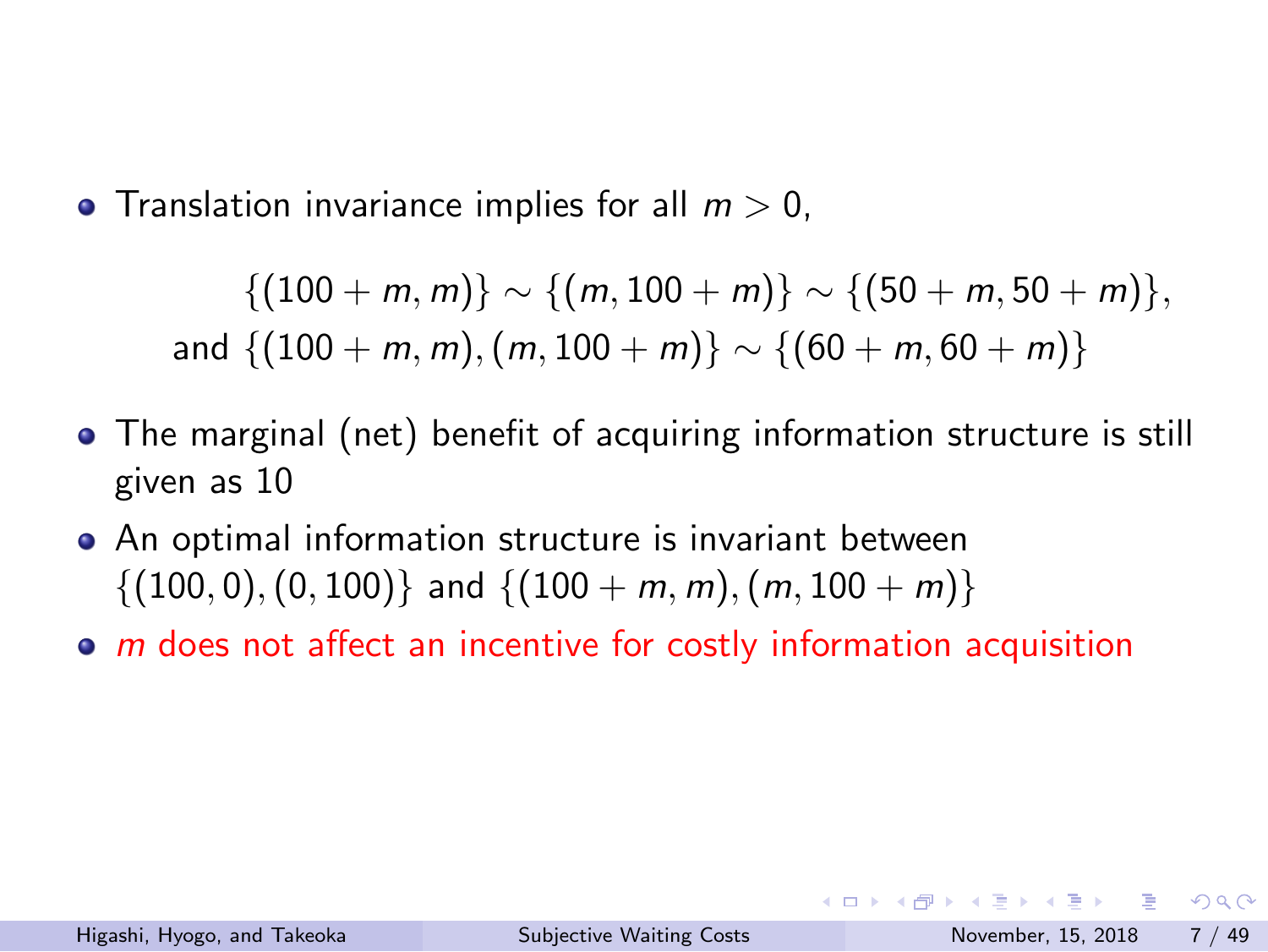• Translation invariance implies for all  $m > 0$ ,

*{*(100 + *m, m*)*} ∼ {*(*m,* 100 + *m*)*} ∼ {*(50 + *m,* 50 + *m*)*},* and  $\{(100 + m, m), (m, 100 + m)\} \sim \{(60 + m, 60 + m)\}$ 

- The marginal (net) benefit of acquiring information structure is still given as 10
- An optimal information structure is invariant between *{*(100*,* 0)*,*(0*,* 100)*}* and *{*(100 + *m, m*)*,*(*m,* 100 + *m*)*}*
- *m* does not affect an incentive for costly information acquisition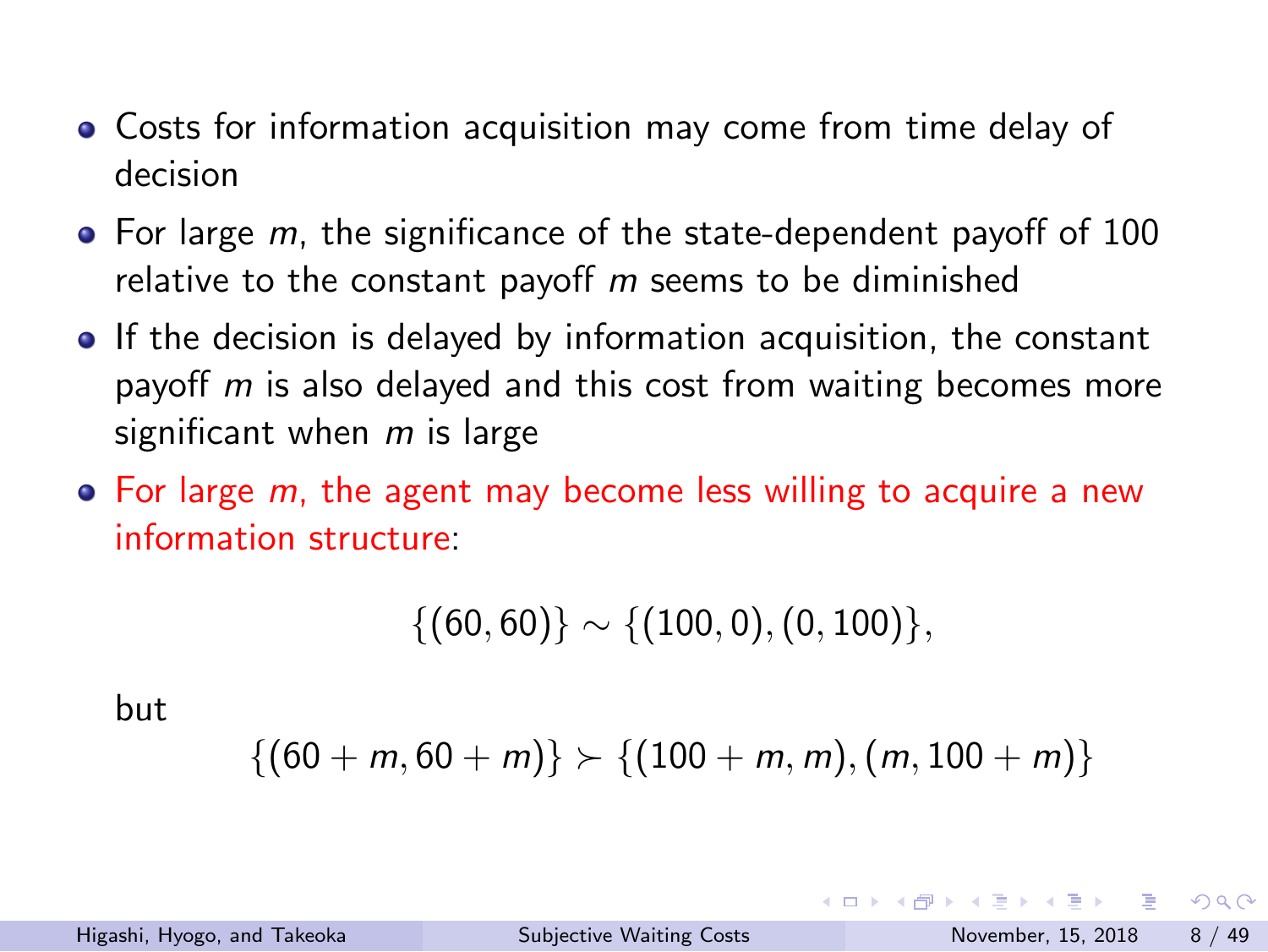- Costs for information acquisition may come from time delay of decision
- For large *m*, the significance of the state-dependent payoff of 100 relative to the constant payoff *m* seems to be diminished
- If the decision is delayed by information acquisition, the constant payoff *m* is also delayed and this cost from waiting becomes more significant when *m* is large
- For large *m*, the agent may become less willing to acquire a new information structure:

$$
\{(60,60)\}\sim\{(100,0),(0,100)\},
$$

but

$$
\{(60+m,60+m)\}\succ\{(100+m,m),(m,100+m)\}
$$

|                             |                                 | - K □ ▶ K @ ▶ K 로 ▶ K 로 ▶ - 로 - K 9 Q Q |  |
|-----------------------------|---------------------------------|-----------------------------------------|--|
| Higashi, Hyogo, and Takeoka | <b>Subjective Waiting Costs</b> | November, 15, 2018 8 / 49               |  |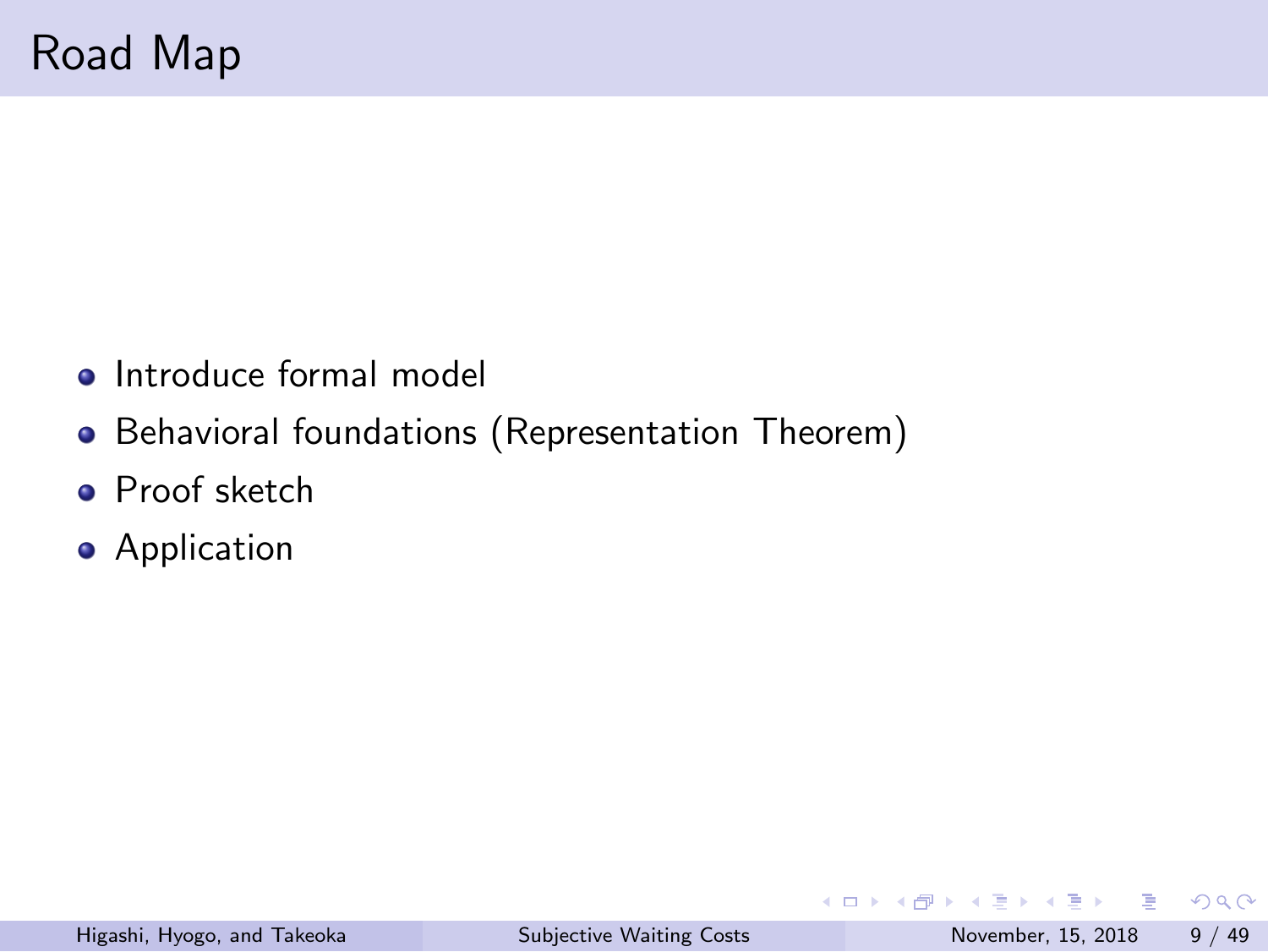# Road Map

- Introduce formal model
- Behavioral foundations (Representation Theorem)
- **·** Proof sketch
- **•** Application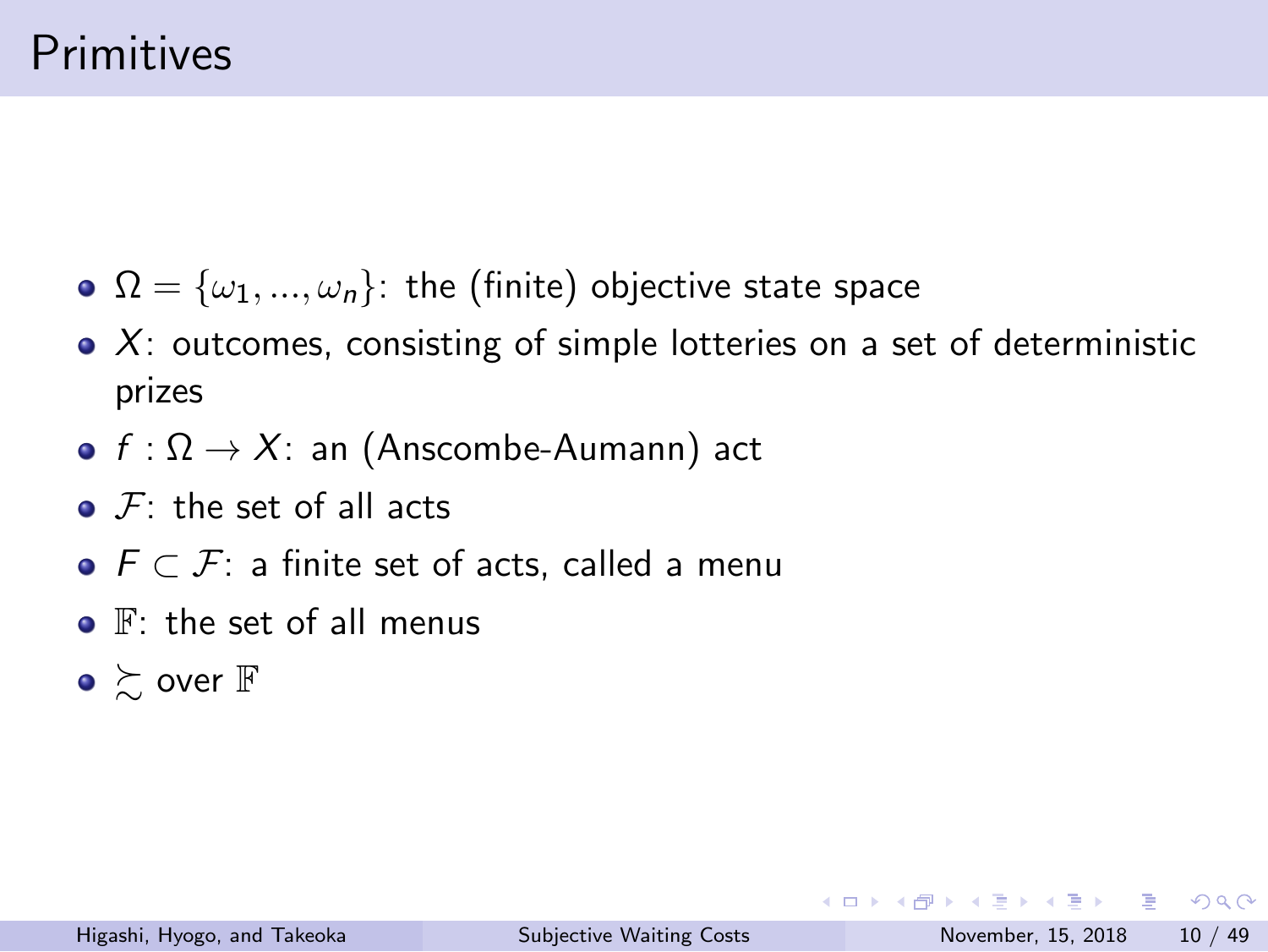## Primitives

- $\Omega = {\omega_1, ..., \omega_n}$ : the (finite) objective state space
- *X*: outcomes, consisting of simple lotteries on a set of deterministic prizes
- *f* : Ω *→ X*: an (Anscombe-Aumann) act
- *F*: the set of all acts
- *F ⊂ F*: a finite set of acts, called a menu
- $\bullet$   $\mathbb{F}$ : the set of all menus
- $\bullet \succsim$  over  $\mathbb F$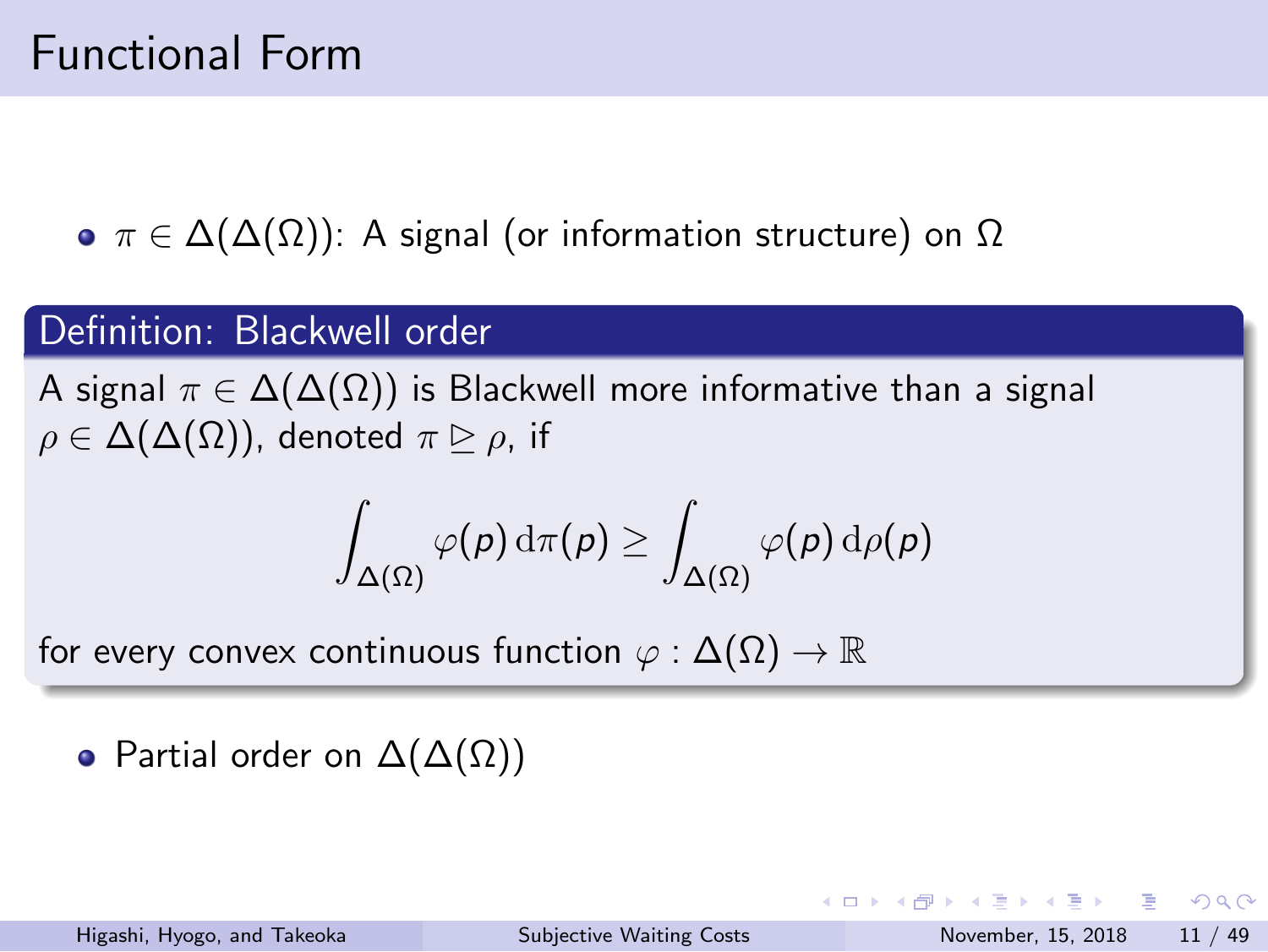## Functional Form

*π ∈* ∆(∆(Ω)): A signal (or information structure) on Ω

#### Definition: Blackwell order

A signal *π ∈* ∆(∆(Ω)) is Blackwell more informative than a signal  $ρ ∈ Δ(Δ(Ω))$ , denoted  $π ⊙ ρ$ , if

$$
\int_{\Delta(\Omega)} \varphi(p) \, \mathrm{d} \pi(p) \geq \int_{\Delta(\Omega)} \varphi(p) \, \mathrm{d} \rho(p)
$$

for every convex continuous function *φ* : ∆(Ω) *→* R

• Partial order on  $\Delta(\Delta(\Omega))$ 

KORK@RKERKER E 1990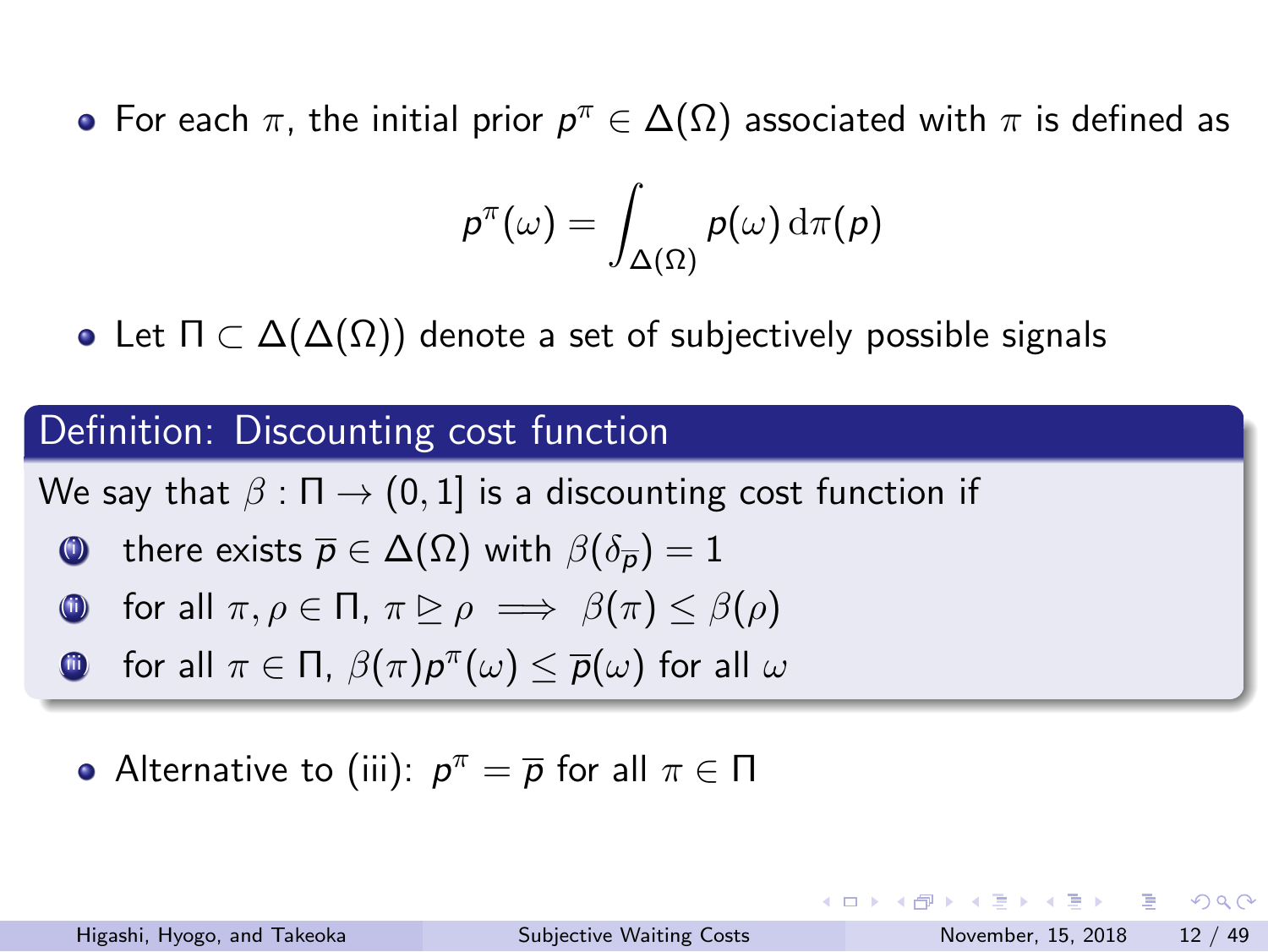For each *π*, the initial prior *p <sup>π</sup> ∈* ∆(Ω) associated with *π* is defined as

$$
\rho^\pi(\omega) = \int_{\Delta(\Omega)} \rho(\omega) \, \mathrm{d}\pi(\rho)
$$

Let Π *⊂* ∆(∆(Ω)) denote a set of subjectively possible signals

#### Definition: Discounting cost function

We say that  $\beta : \Pi \to (0,1]$  is a discounting cost function if

- **(0)** there exists  $\overline{p} \in \Delta(\Omega)$  with  $\beta(\delta_{\overline{p}}) = 1$
- **0** for all  $\pi, \rho \in \Pi$ ,  $\pi \trianglerighteq \rho \implies \beta(\pi) \leq \beta(\rho)$
- $\Box$  for all  $\pi \in \Pi$ ,  $\beta(\pi)p^{\pi}(\omega) \leq \overline{p}(\omega)$  for all  $\omega$
- Alternative to (iii):  $p^{\pi} = \overline{p}$  for all  $\pi \in \Pi$

イロト (個) イミト (ミ) - ミーのダ(^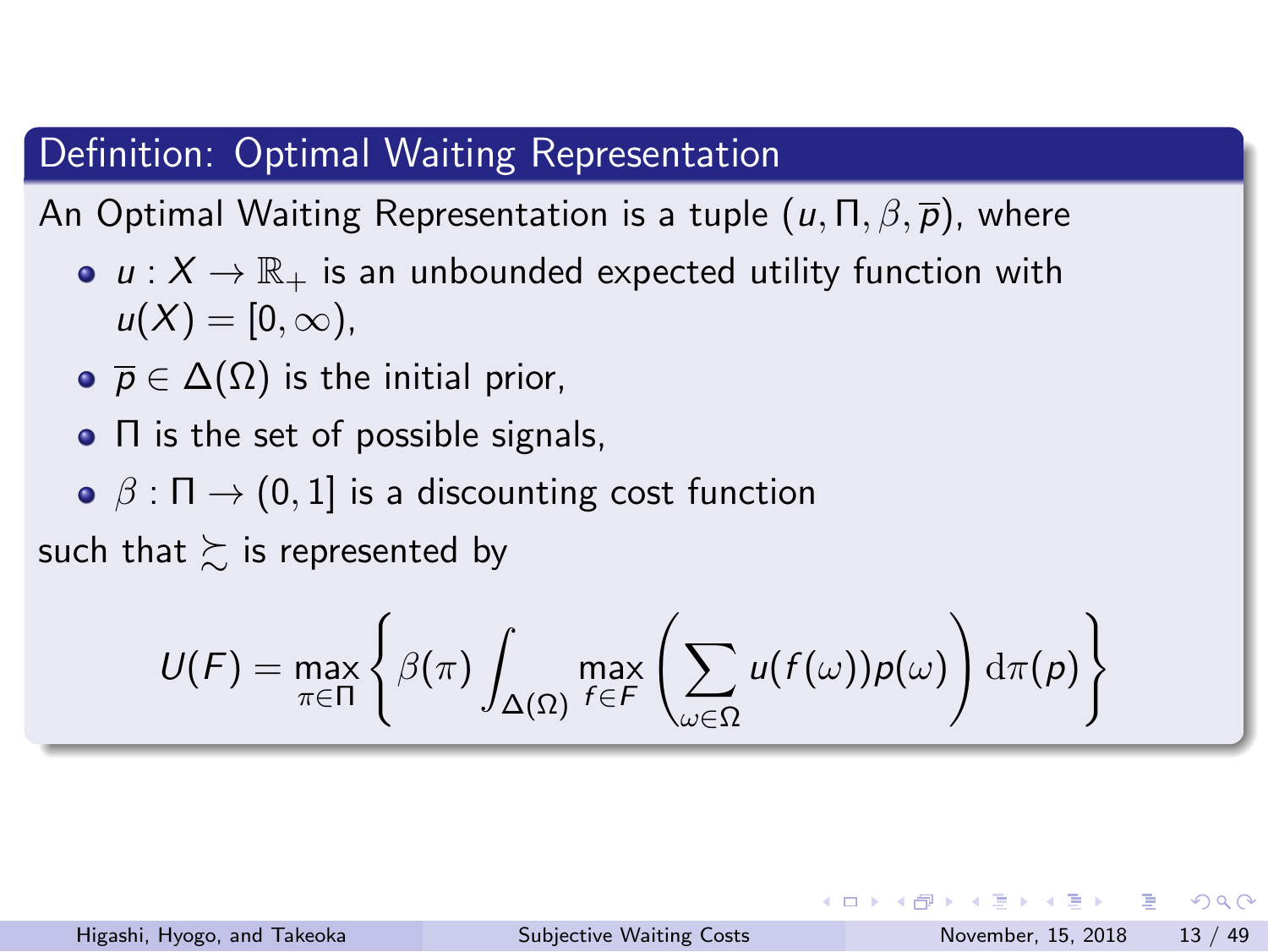#### Definition: Optimal Waiting Representation

An Optimal Waiting Representation is a tuple (*u,* Π*, β, p*), where

- $u: X \to \mathbb{R}_+$  is an unbounded expected utility function with  $u(X) = [0, \infty),$
- $\overline{p} \in \Delta(\Omega)$  is the initial prior,
- Π is the set of possible signals,
- **•** *β* : Π → (0, 1] is a discounting cost function

such that  $\succsim$  is represented by

$$
U(F) = \max_{\pi \in \Pi} \left\{ \beta(\pi) \int_{\Delta(\Omega)} \max_{f \in F} \left( \sum_{\omega \in \Omega} u(f(\omega)) p(\omega) \right) d\pi(p) \right\}
$$

K ロ K K 레 K K 화 K X 화 X 화 X X X X 하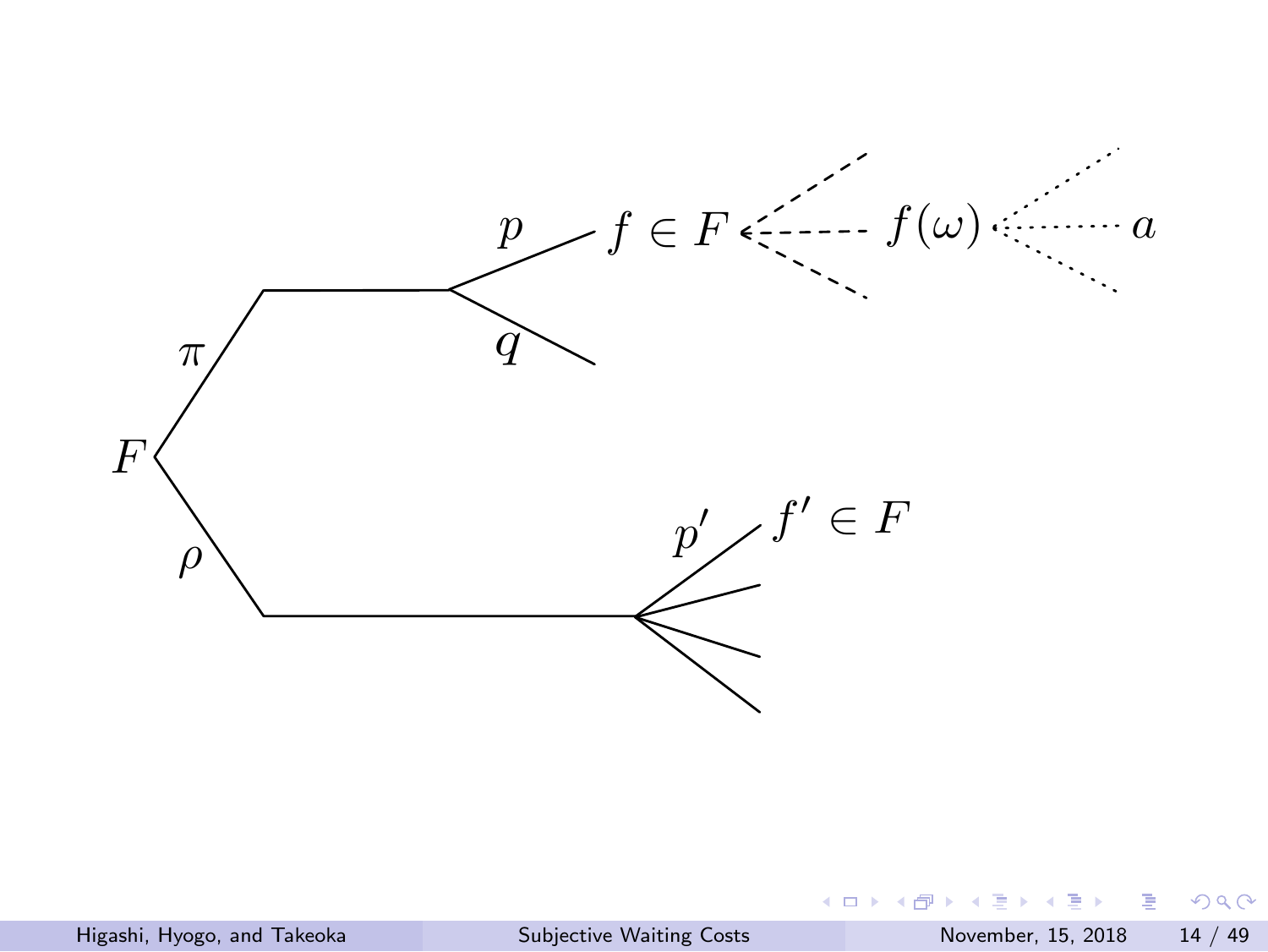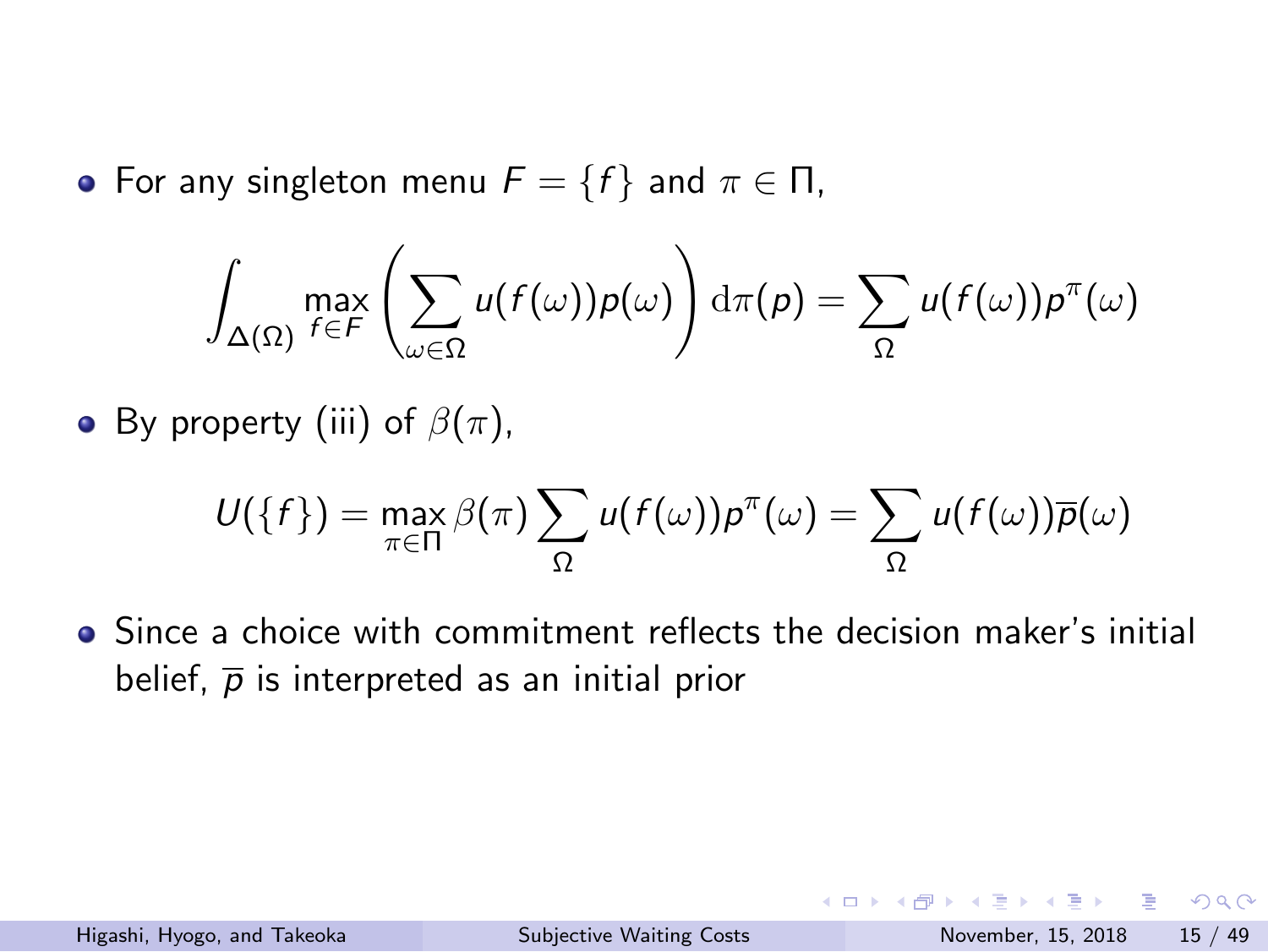• For any singleton menu  $F = \{f\}$  and  $\pi \in \Pi$ ,

$$
\int_{\Delta(\Omega)} \max_{f \in F} \left( \sum_{\omega \in \Omega} u(f(\omega)) p(\omega) \right) d\pi(p) = \sum_{\Omega} u(f(\omega)) p^{\pi}(\omega)
$$

• By property (iii) of  $\beta(\pi)$ ,

$$
U({f}) = \max_{\pi \in \Pi} \beta(\pi) \sum_{\Omega} u(f(\omega)) p^{\pi}(\omega) = \sum_{\Omega} u(f(\omega)) \overline{p}(\omega)
$$

• Since a choice with commitment reflects the decision maker's initial belief,  $\bar{p}$  is interpreted as an initial prior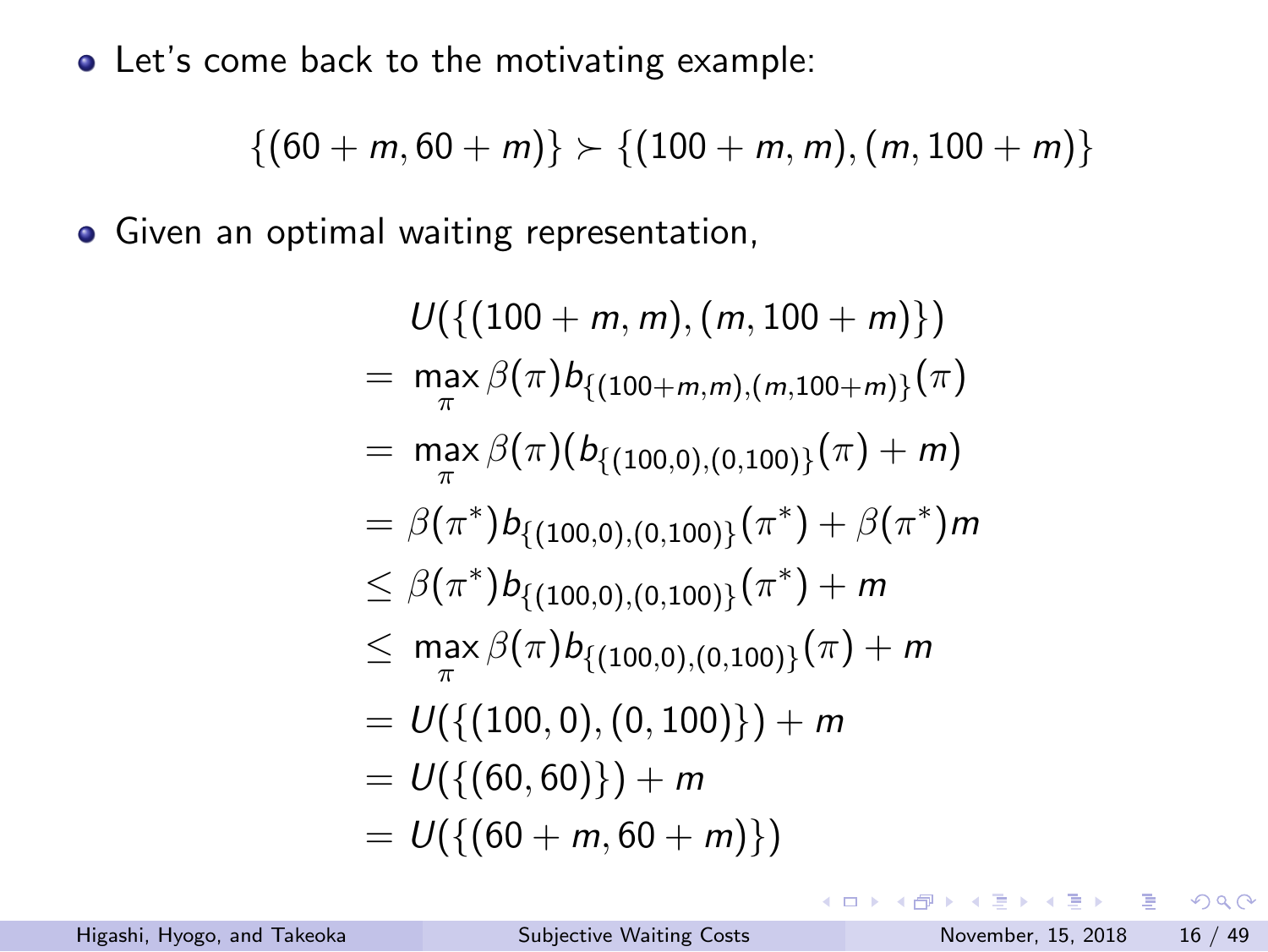Let's come back to the motivating example:

$$
\{(60+m,60+m)\}\succ\{(100+m,m),(m,100+m)\}
$$

Given an optimal waiting representation,

$$
U(\{(100 + m, m), (m, 100 + m)\})
$$
  
=  $\max_{\pi} \beta(\pi) b_{\{(100 + m, m), (m, 100 + m)\}}(\pi)$   
=  $\max_{\pi} \beta(\pi) (b_{\{(100, 0), (0, 100)\}}(\pi) + m)$   
=  $\beta(\pi^*) b_{\{(100, 0), (0, 100)\}}(\pi^*) + \beta(\pi^*)m$   
 $\leq \beta(\pi^*) b_{\{(100, 0), (0, 100)\}}(\pi^*) + m$   
 $\leq \max_{\pi} \beta(\pi) b_{\{(100, 0), (0, 100)\}}(\pi) + m$   
=  $U(\{(100, 0), (0, 100)\}) + m$   
=  $U(\{(60 + m, 60 + m)\})$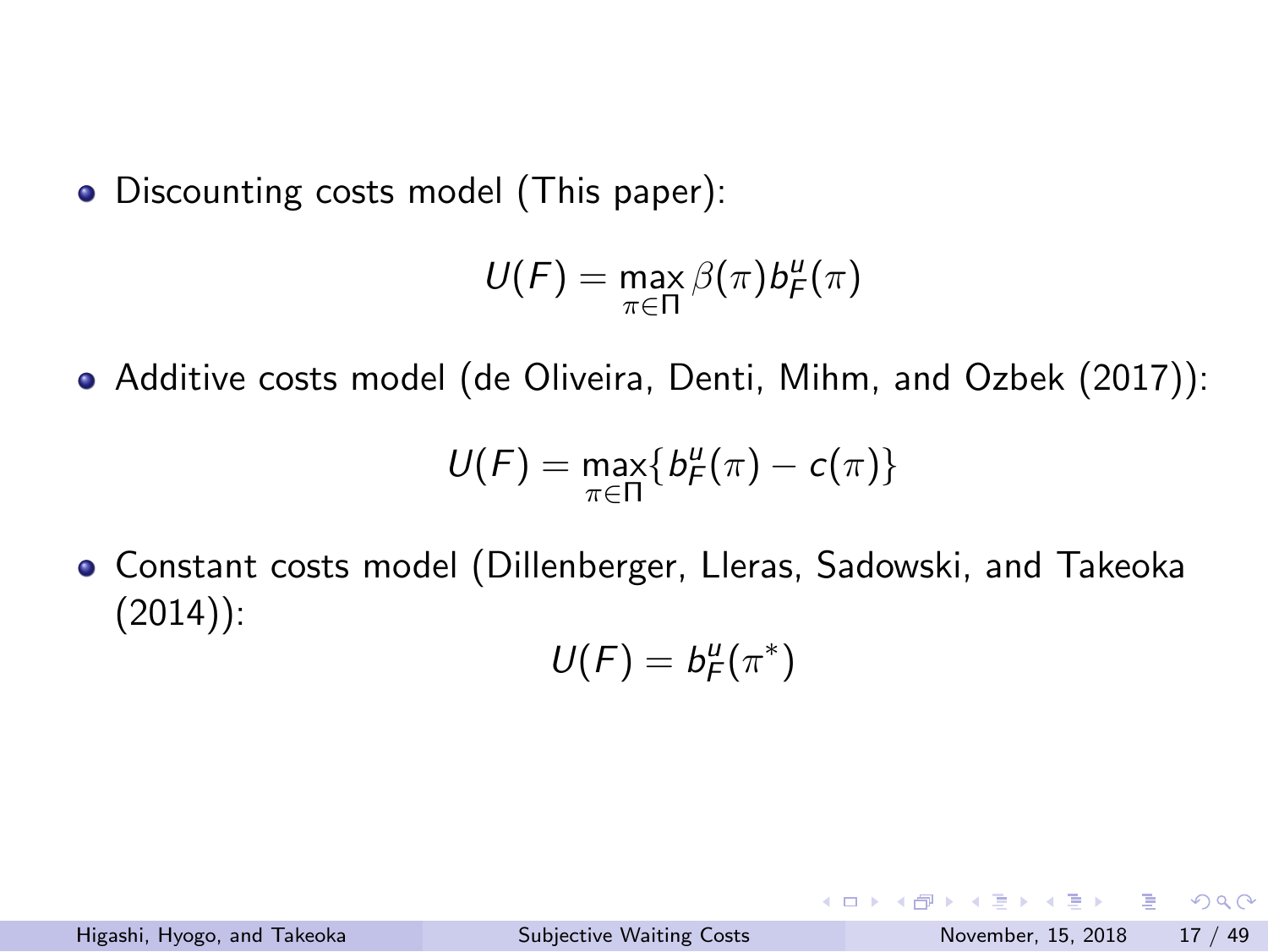Discounting costs model (This paper):

$$
U(F) = \max_{\pi \in \Pi} \beta(\pi) b_F^u(\pi)
$$

Additive costs model (de Oliveira, Denti, Mihm, and Ozbek (2017)):

$$
U(F)=\max_{\pi\in\Pi}\{b_F^u(\pi)-c(\pi)\}
$$

Constant costs model (Dillenberger, Lleras, Sadowski, and Takeoka (2014)):

$$
\mathit{U}(F)=b_F^u(\pi^*)
$$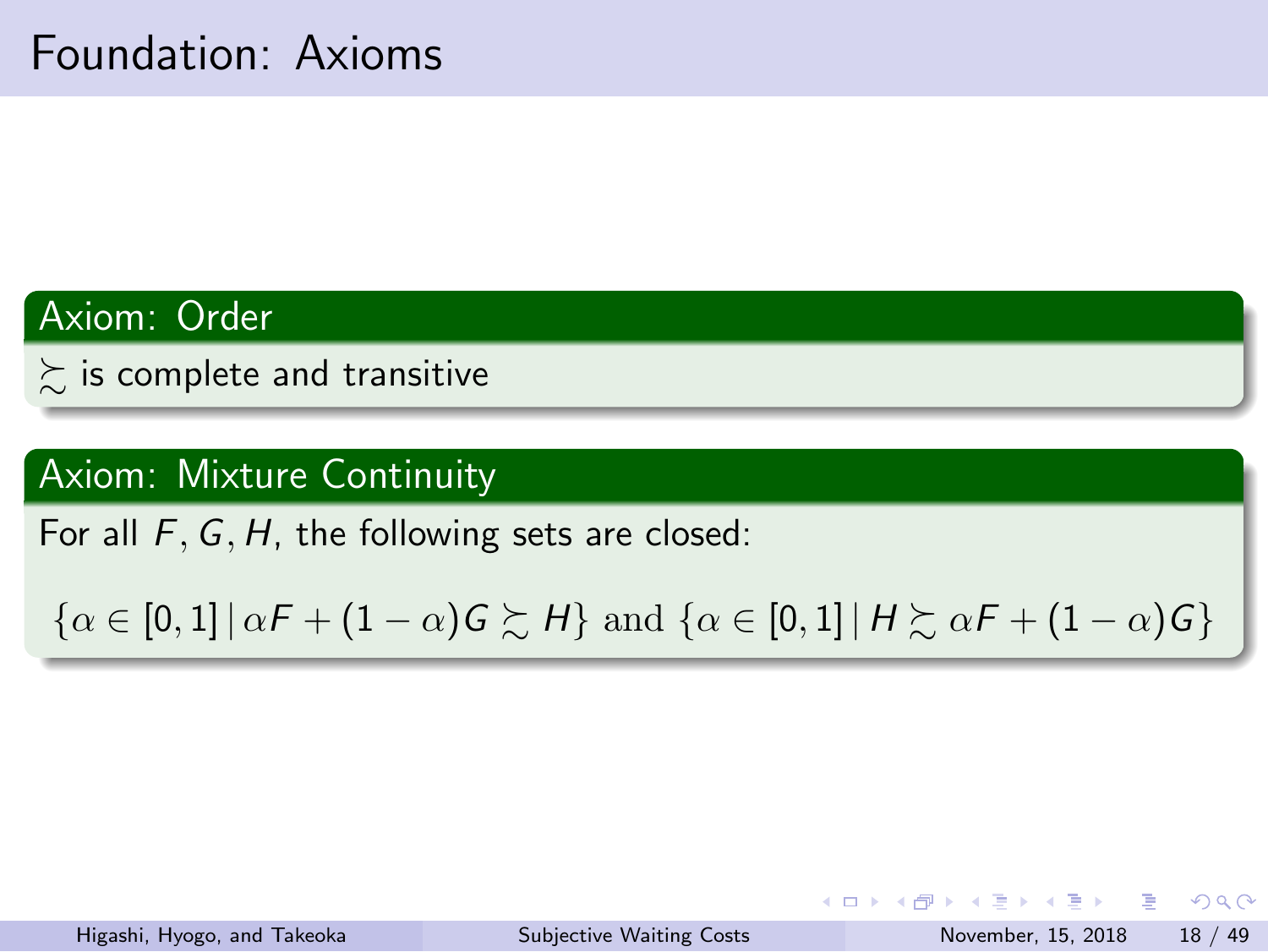## Foundation: Axioms

Axiom: Order

 $\sum$  is complete and transitive

Axiom: Mixture Continuity

For all *F, G, H*, the following sets are closed:

 $\{\alpha\in [0,1]\,|\, \alpha F + (1-\alpha)G \succsim H\} \text{ and } \{\alpha\in [0,1]\,|\, H\succsim \alpha F + (1-\alpha)G\}$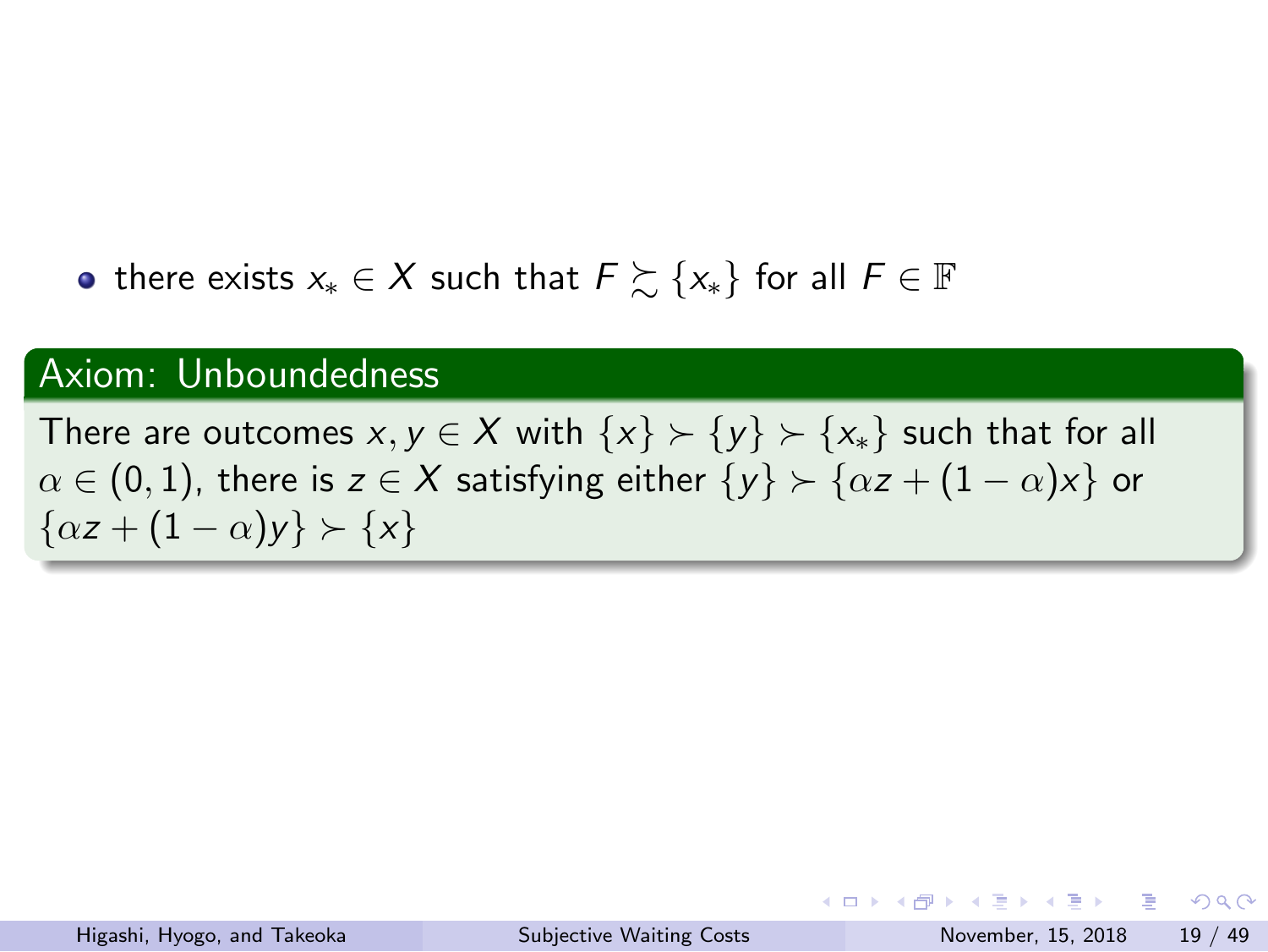there exists *x<sup>∗</sup> ∈ X* such that *F* ≿ *{x∗}* for all *F ∈* F

## Axiom: Unboundedness

 $\textsf{There are outcomes}\,\, x,y\in X\,\, \text{with}\,\, \{x\}\succ \{y\}\succ \{x_\ast\}\,\, \text{such that for all}\,\,$  $\alpha \in (0,1)$ , there is  $z \in X$  satisfying either  $\{y\} \succ \{\alpha z + (1-\alpha)x\}$  or *{αz* + (1 *− α*)*y} ≻ {x}*

イロト 4週 トイミト イミト ニミー のなび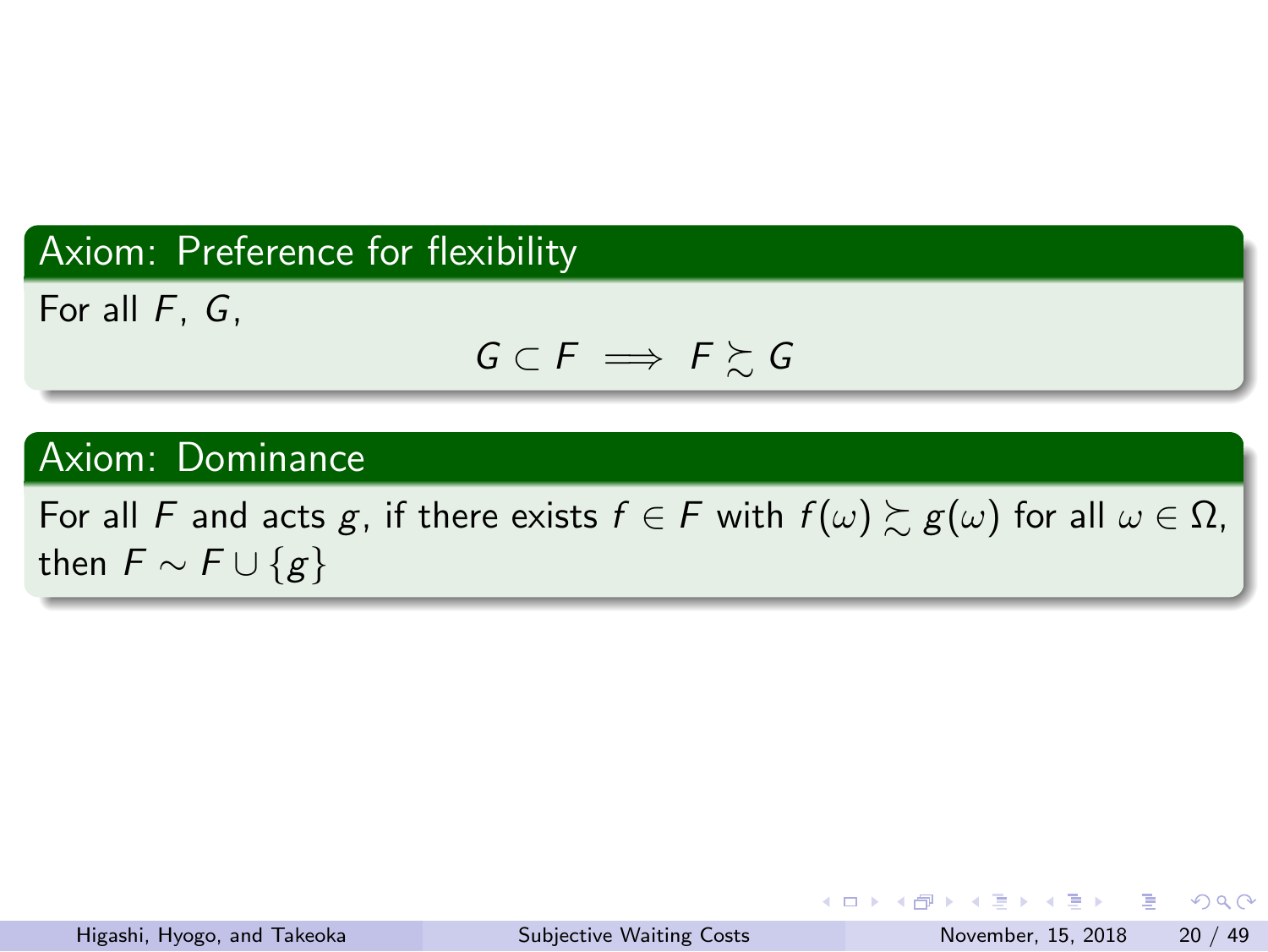## Axiom: Preference for flexibility

For all *F*, *G*,

 $G ⊂ F$   $\Longrightarrow$   $F \succsim G$ 

#### Axiom: Dominance

For all *F* and acts *g*, if there exists  $f \in F$  with  $f(\omega) \gtrsim g(\omega)$  for all  $\omega \in \Omega$ , then  $\overline{F} \sim \overline{F} \cup \{g\}$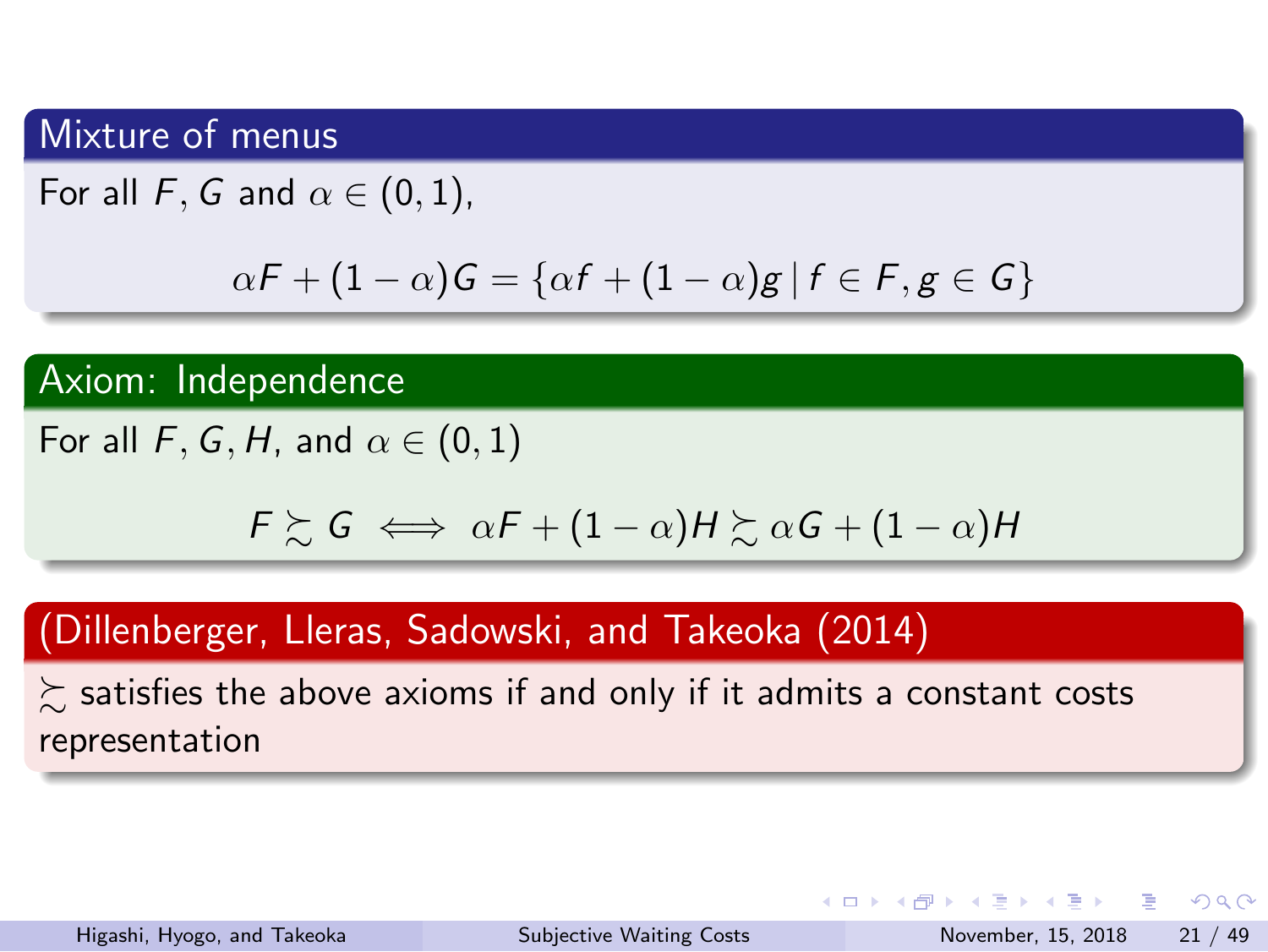#### Mixture of menus

For all  $F$ *, G* and  $\alpha \in (0,1)$ ,

$$
\alpha F + (1 - \alpha)G = \{ \alpha f + (1 - \alpha)g \mid f \in F, g \in G \}
$$

#### Axiom: Independence

For all  $F, G, H$ , and  $\alpha \in (0, 1)$ 

 $F \succsim G \iff \alpha F + (1 - \alpha)H \succsim \alpha G + (1 - \alpha)H$ 

#### (Dillenberger, Lleras, Sadowski, and Takeoka (2014)

 $\succsim$  satisfies the above axioms if and only if it admits a constant costs representation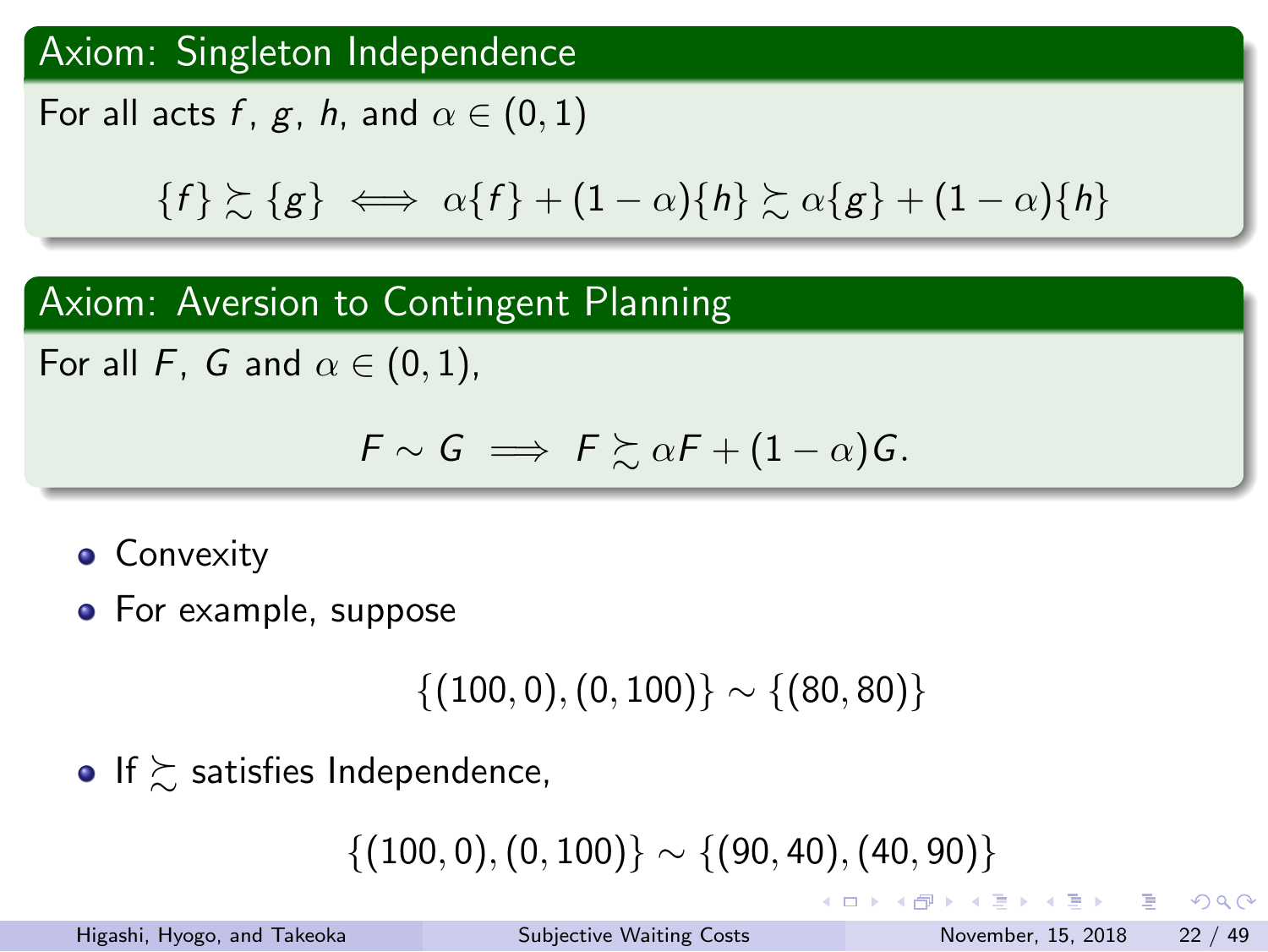#### Axiom: Singleton Independence

For all acts  $f$ ,  $g$ ,  $h$ , and  $\alpha \in (0,1)$ 

$$
\{f\} \succsim \{g\} \iff \alpha\{f\} + (1-\alpha)\{h\} \succsim \alpha\{g\} + (1-\alpha)\{h\}
$$

#### Axiom: Aversion to Contingent Planning

For all  $F$ ,  $G$  and  $\alpha \in (0,1)$ ,

$$
\mathsf{F}\sim \mathsf{G}\implies \mathsf{F}\succsim \alpha\mathsf{F}+(1-\alpha)\mathsf{G}.
$$

- **•** Convexity
- For example, suppose

*{*(100*,* 0)*,*(0*,* 100)*} ∼ {*(80*,* 80)*}*

 $\bullet$  If  $\succsim$  satisfies Independence,

*{*(100*,* 0)*,*(0*,* 100)*} ∼ {*(90*,* 40)*,*(40*,* 90)*}*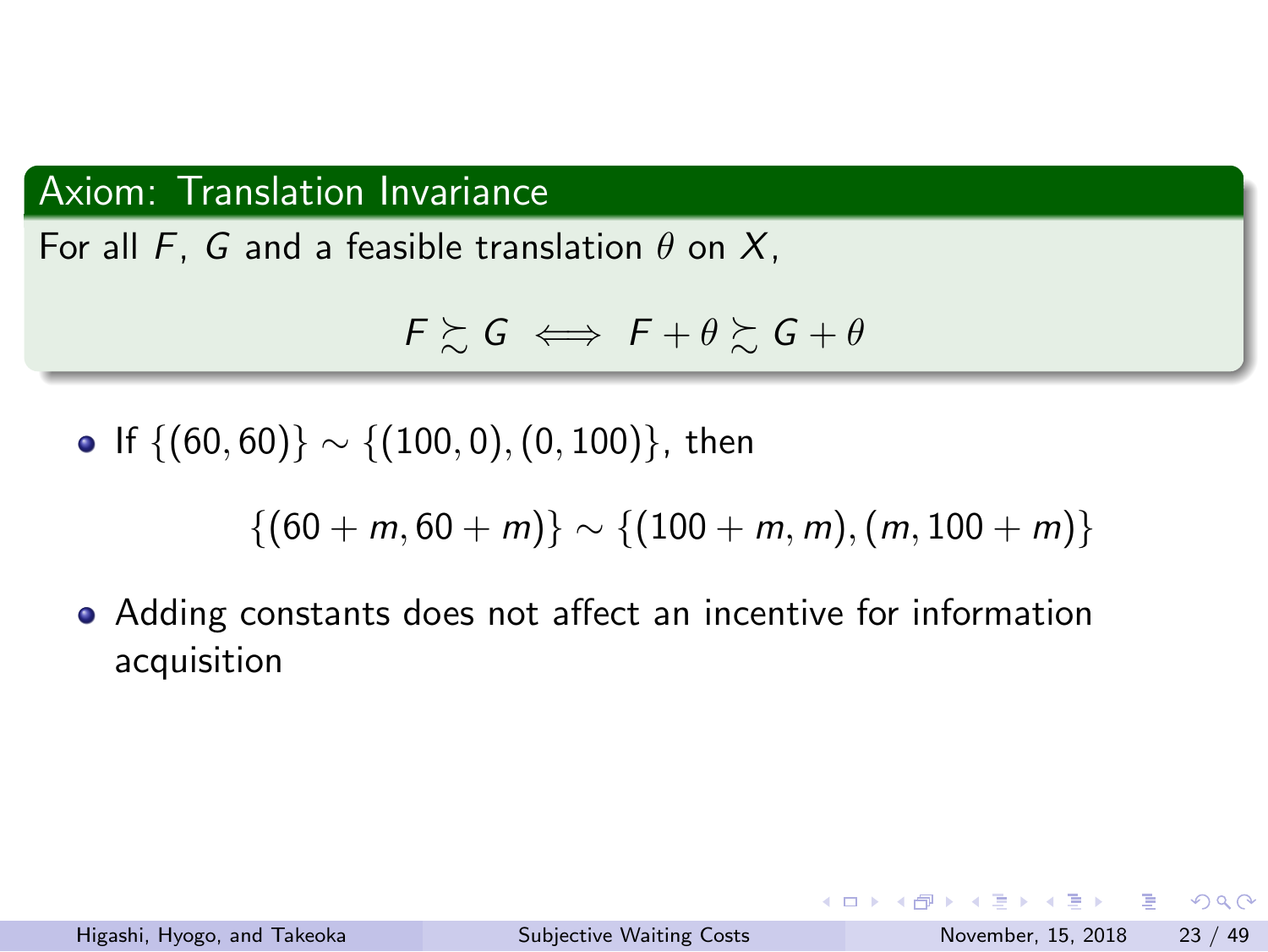#### Axiom: Translation Invariance

For all *F*, *G* and a feasible translation *θ* on *X*,

 $F \succeq G \iff F + \theta \succeq G + \theta$ 

If *{*(60*,* 60)*} ∼ {*(100*,* 0)*,*(0*,* 100)*}*, then

 $\{(60 + m, 60 + m)\} \sim \{(100 + m, m), (m, 100 + m)\}$ 

Adding constants does not affect an incentive for information acquisition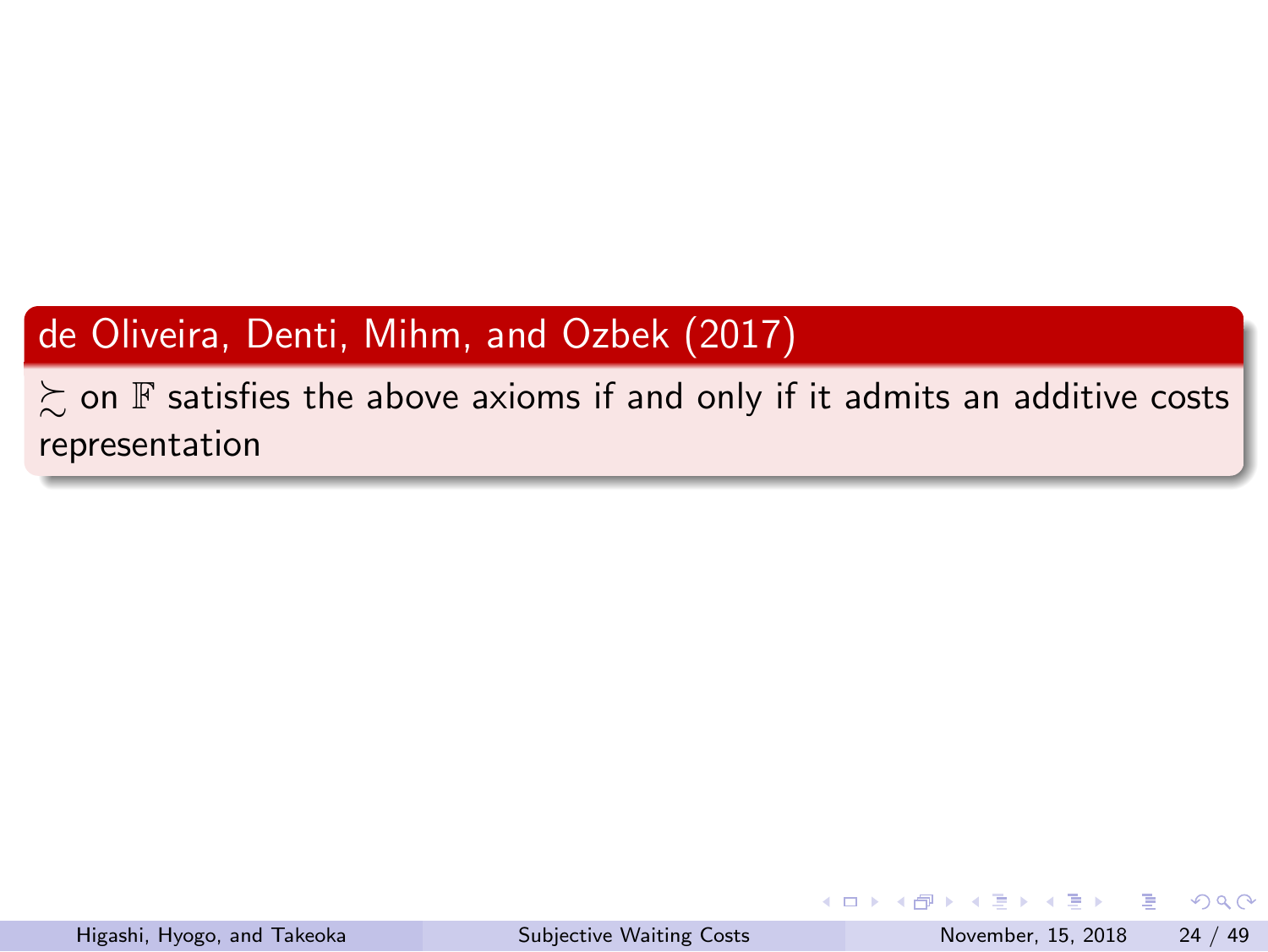## de Oliveira, Denti, Mihm, and Ozbek (2017)

 $\gtrsim$  on  $\mathbb F$  satisfies the above axioms if and only if it admits an additive costs representation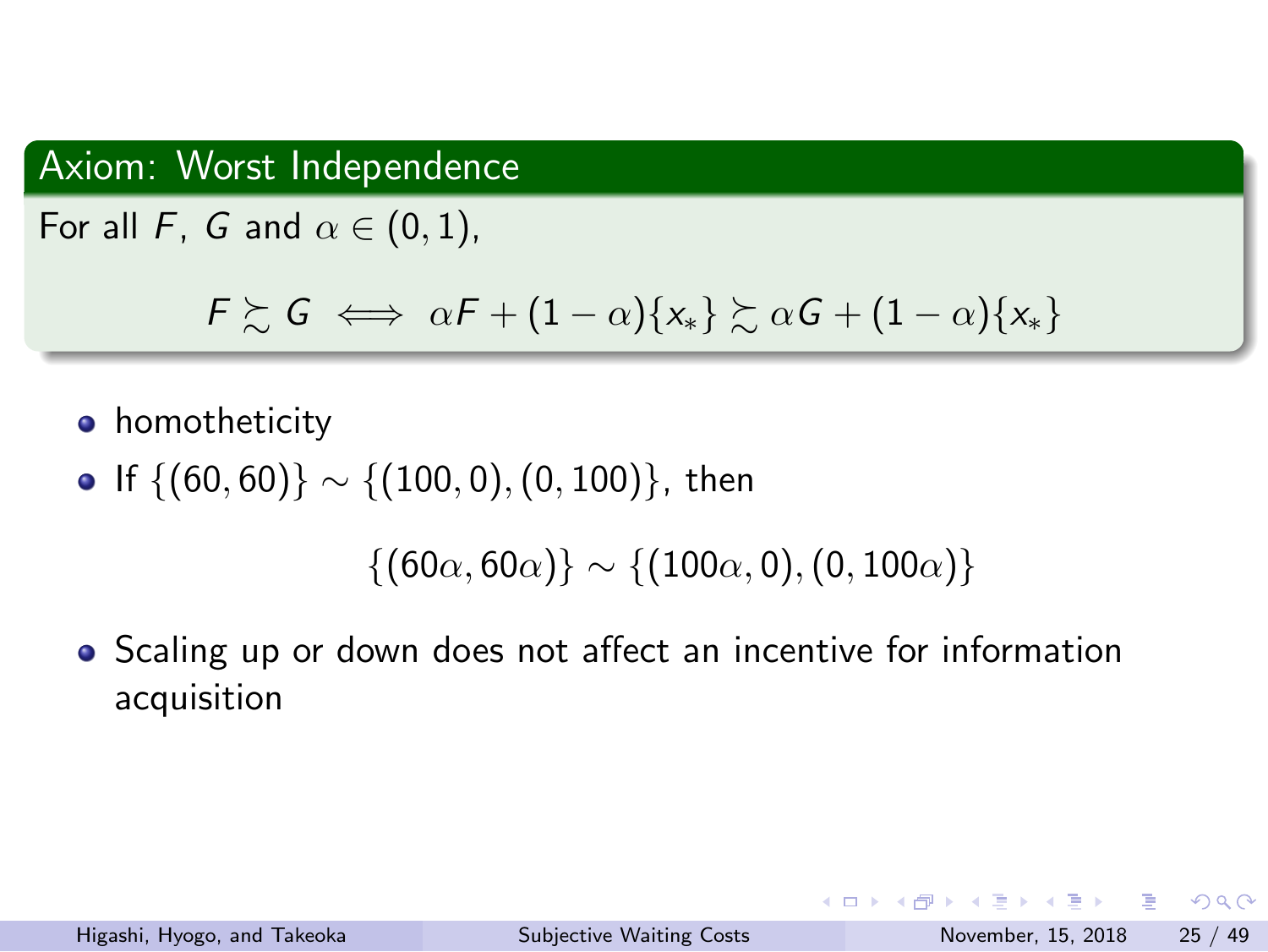#### Axiom: Worst Independence

For all *F*, *G* and  $\alpha \in (0, 1)$ ,

 $F \succsim G \iff \alpha F + (1 - \alpha)\{x_*\} \succsim \alpha G + (1 - \alpha)\{x_*\}$ 

- **•** homotheticity
- If *{*(60*,* 60)*} ∼ {*(100*,* 0)*,*(0*,* 100)*}*, then

*{*(60*α,* 60*α*)*} ∼ {*(100*α,* 0)*,*(0*,* 100*α*)*}*

Scaling up or down does not affect an incentive for information acquisition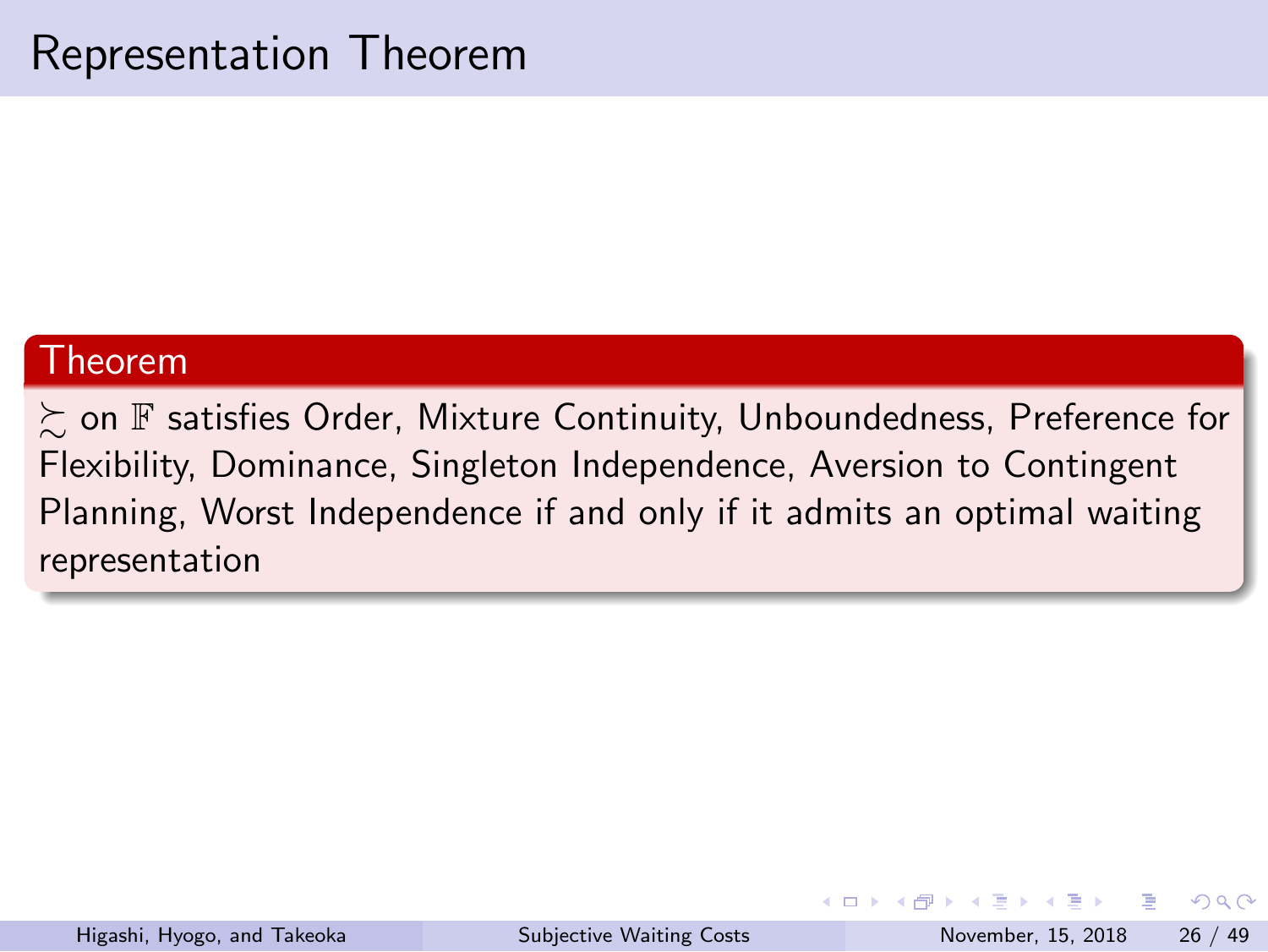## Representation Theorem

#### Theorem

 $\succsim$  on  ${\mathbb F}$  satisfies Order, Mixture Continuity, Unboundedness, Preference for Flexibility, Dominance, Singleton Independence, Aversion to Contingent Planning, Worst Independence if and only if it admits an optimal waiting representation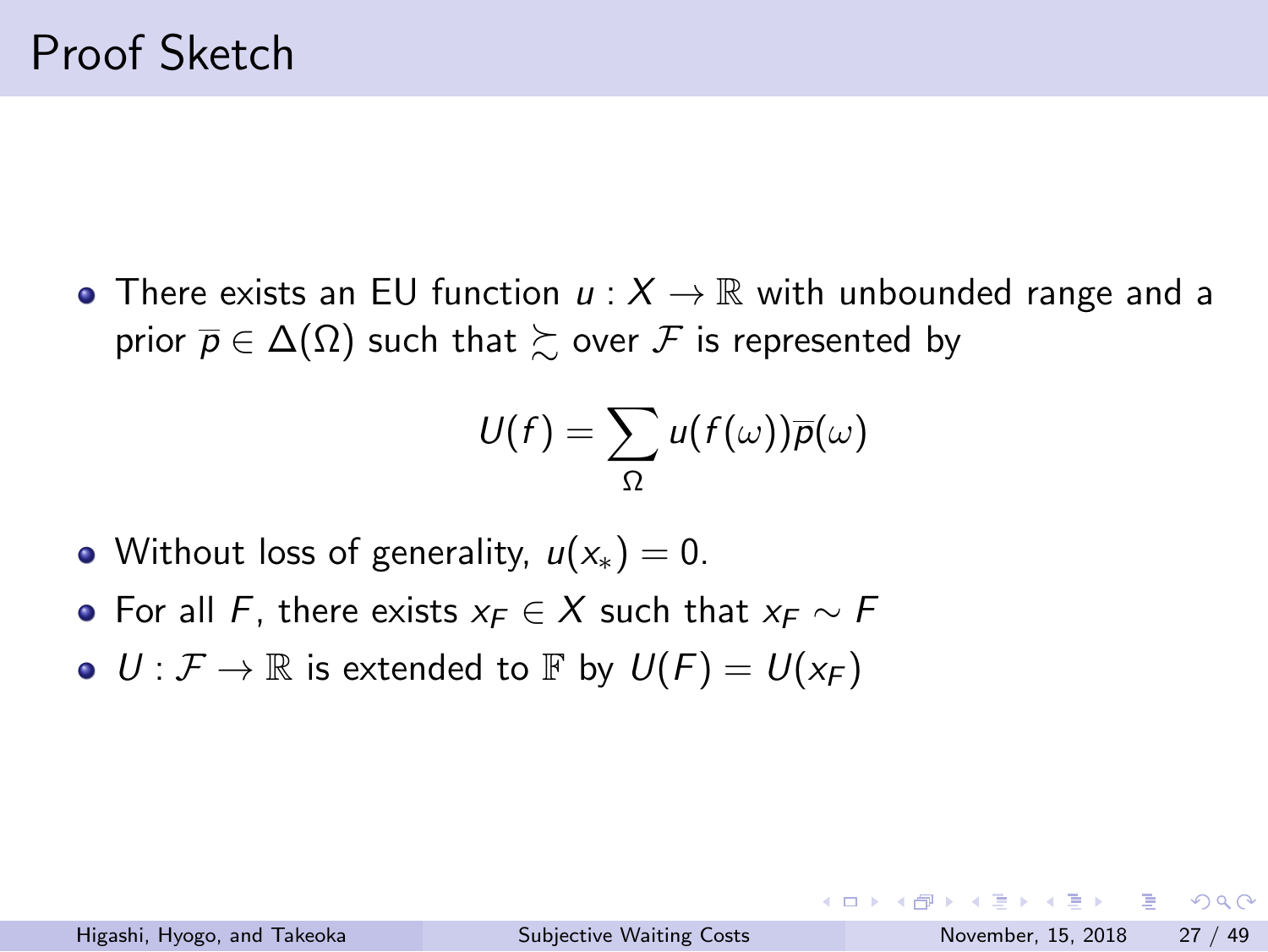#### Proof Sketch

There exists an EU function *u* : *X →* R with unbounded range and a  $\mathsf{prior}\ \overline{\mathsf{p}} \in \Delta(\Omega)$  such that  $\succsim$  over  $\mathcal F$  is represented by

$$
U(f) = \sum_{\Omega} u(f(\omega)) \overline{p}(\omega)
$$

- Without loss of generality, *u*(*x∗*) = 0.
- For all *F*, there exists *x<sup>F</sup> ∈ X* such that *x<sup>F</sup> ∼ F*
- $U: \mathcal{F} \to \mathbb{R}$  is extended to  $\mathbb{F}$  by  $U(F) = U(x_F)$

K ロ K K @ K K 할 X K 할 X - 할 X Y Q Q @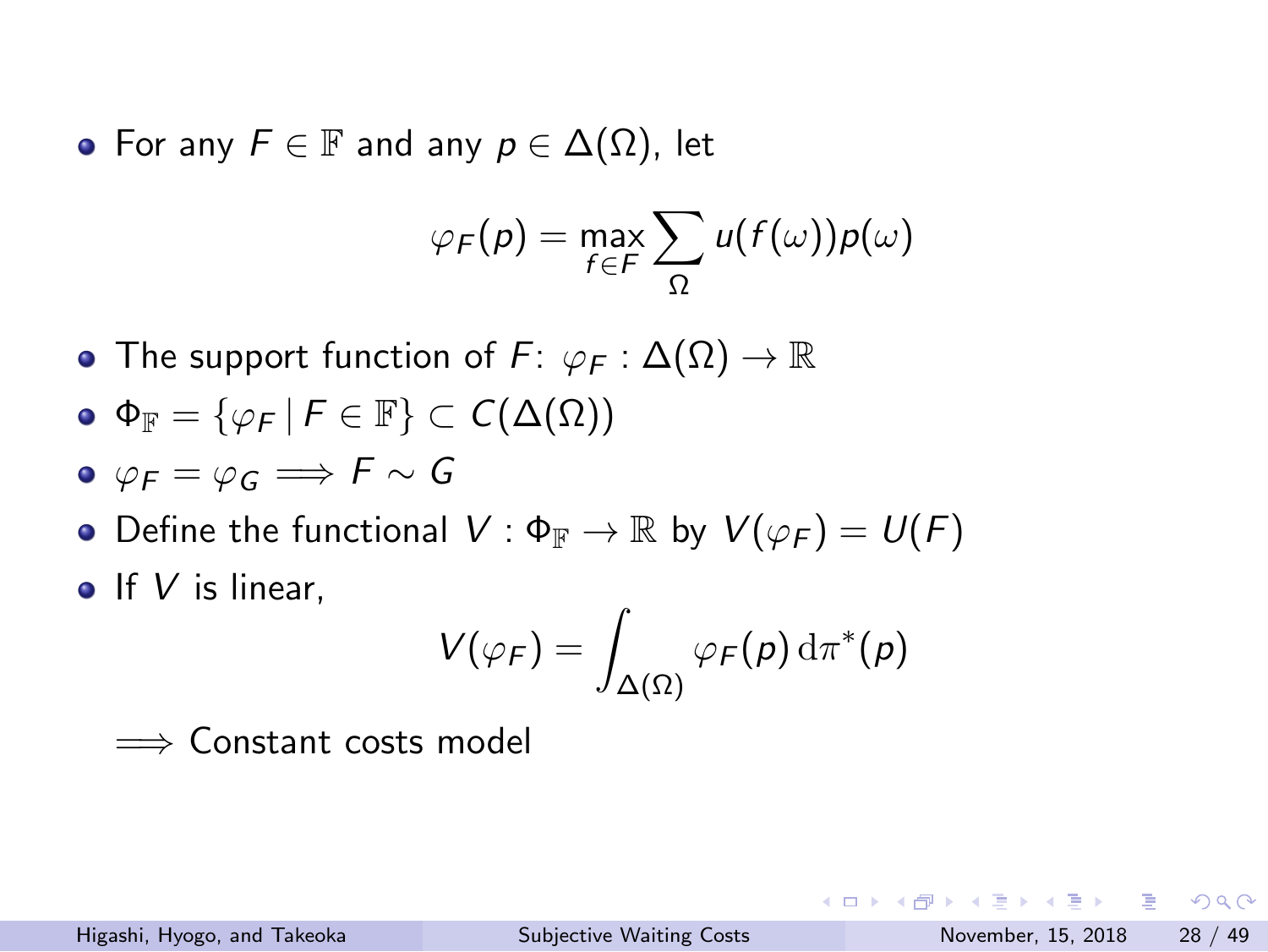For any *F ∈* F and any *p ∈* ∆(Ω), let

$$
\varphi_F(p) = \max_{f \in F} \sum_{\Omega} u(f(\omega)) p(\omega)
$$

- The support function of *F*: *φ<sup>F</sup>* : ∆(Ω) *→* R
- $\Phi_{\mathbb{F}} = {\varphi_F | F \in \mathbb{F}} \subset C(\Delta(\Omega))$
- $\phi$   $\varphi$ *F* =  $\varphi$ *G*  $\implies$  *F*  $\sim$  *G*
- Define the functional  $V : \Phi_{\mathbb{F}} \to \mathbb{R}$  by  $V(\varphi_F) = U(F)$
- **o** If *V* is linear,

$$
V(\varphi_F) = \int_{\Delta(\Omega)} \varphi_F(\rho) \, \mathrm{d} \pi^*(\rho)
$$

=*⇒* Constant costs model

| Higashi, Hyogo, and Takeoka | <b>Subjective Waiting Costs</b> | November, 15, 2018 28 / 49 |  |
|-----------------------------|---------------------------------|----------------------------|--|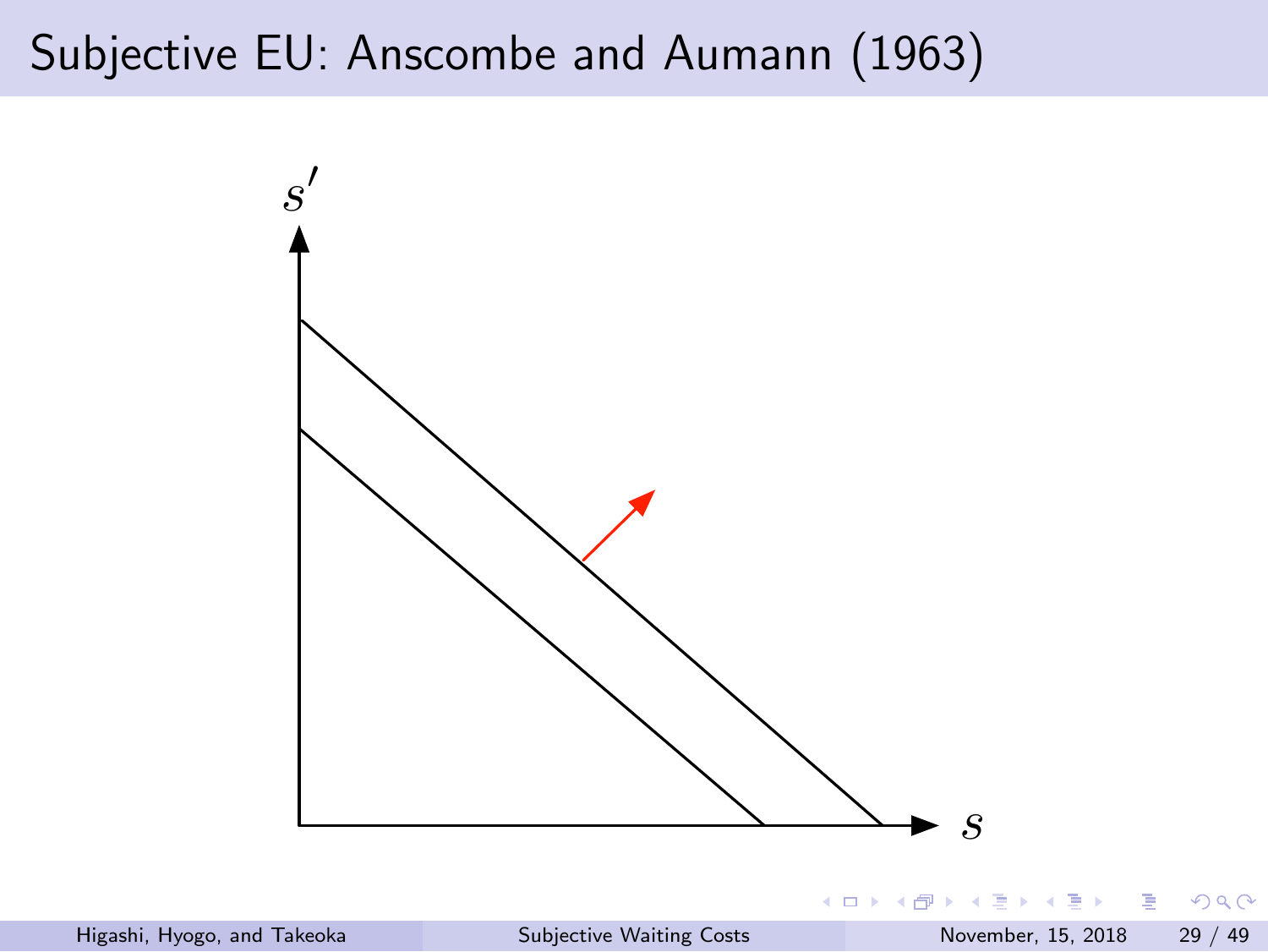# Subjective EU: Anscombe and Aumann (1963)

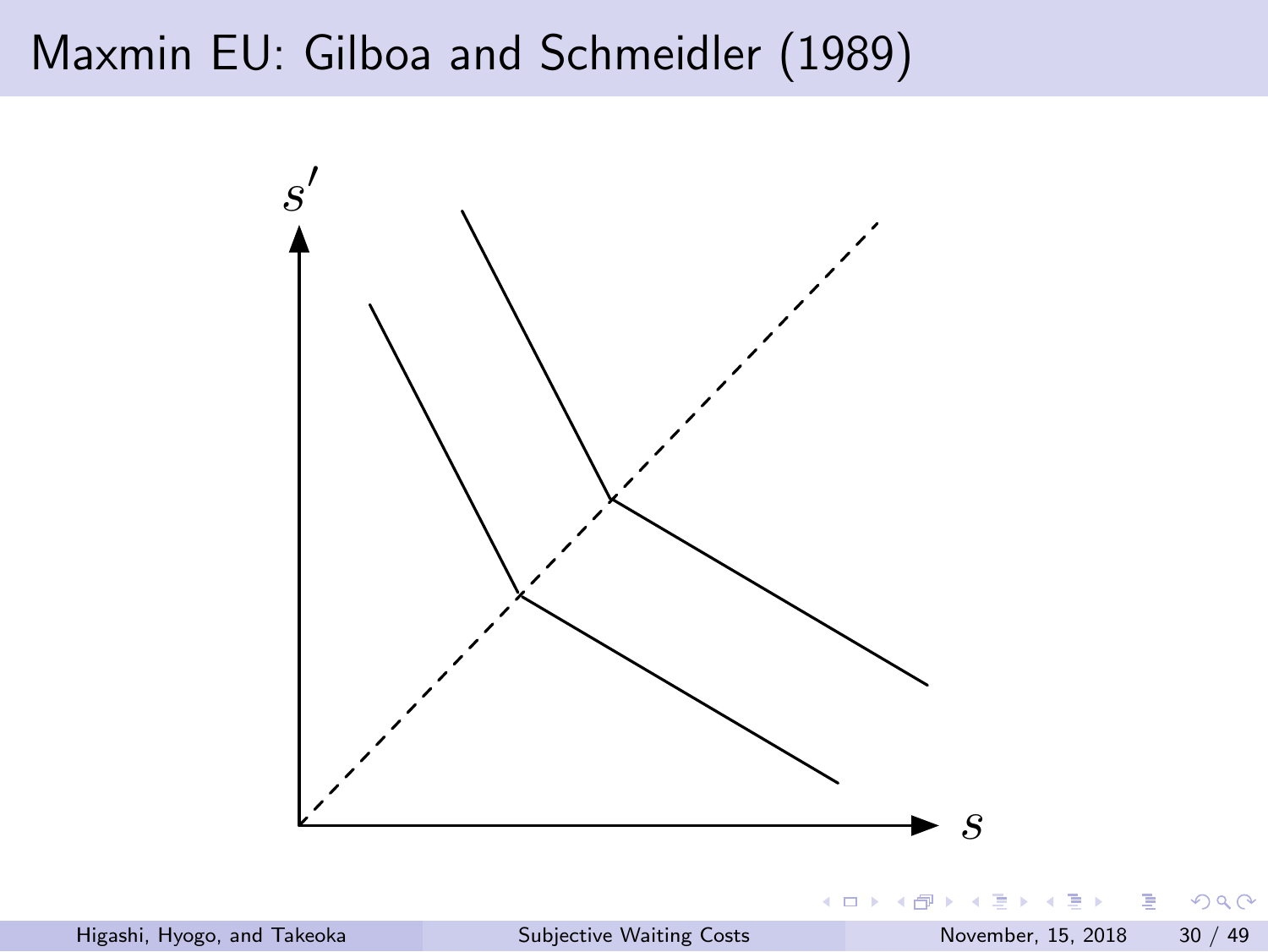

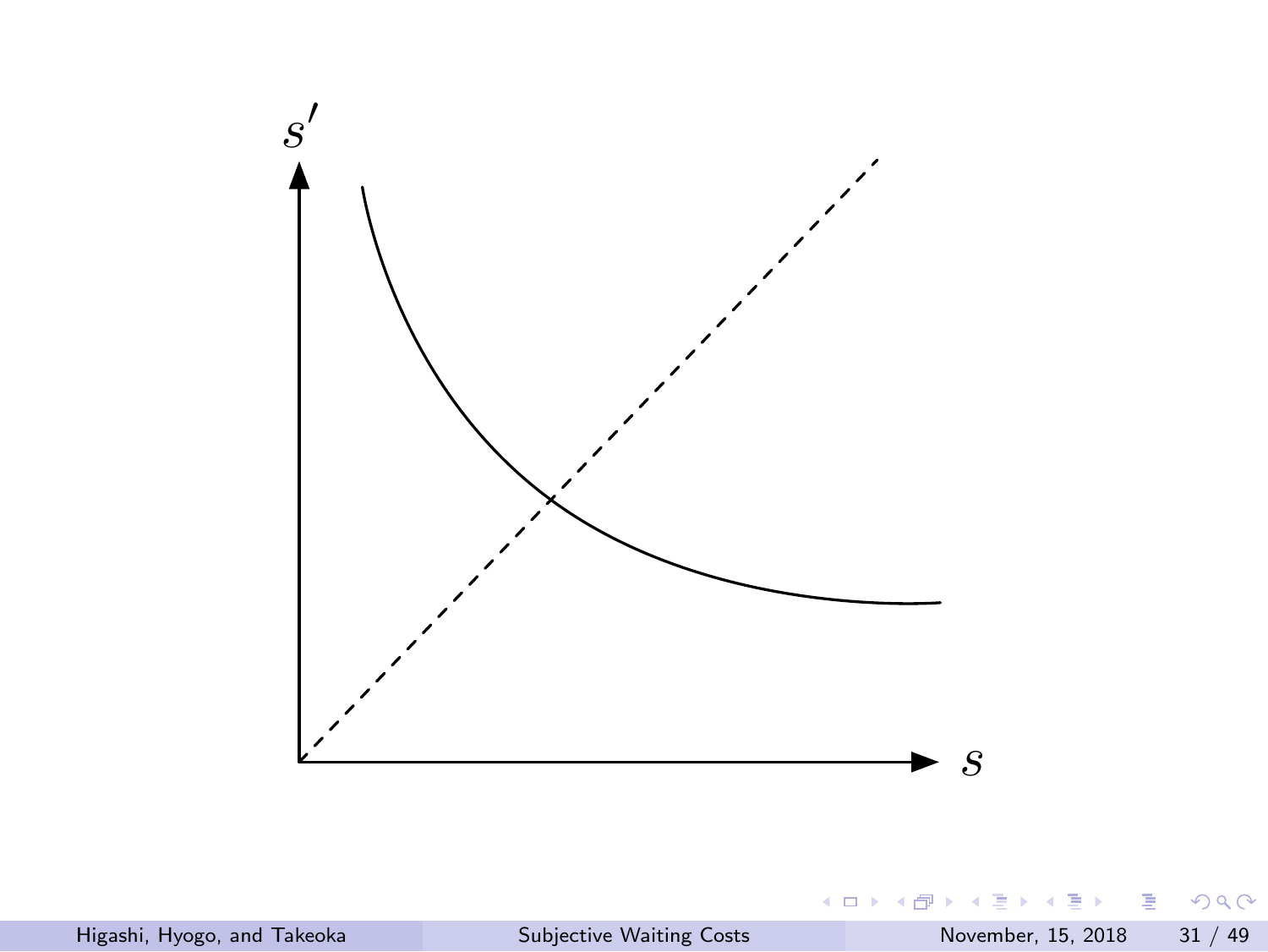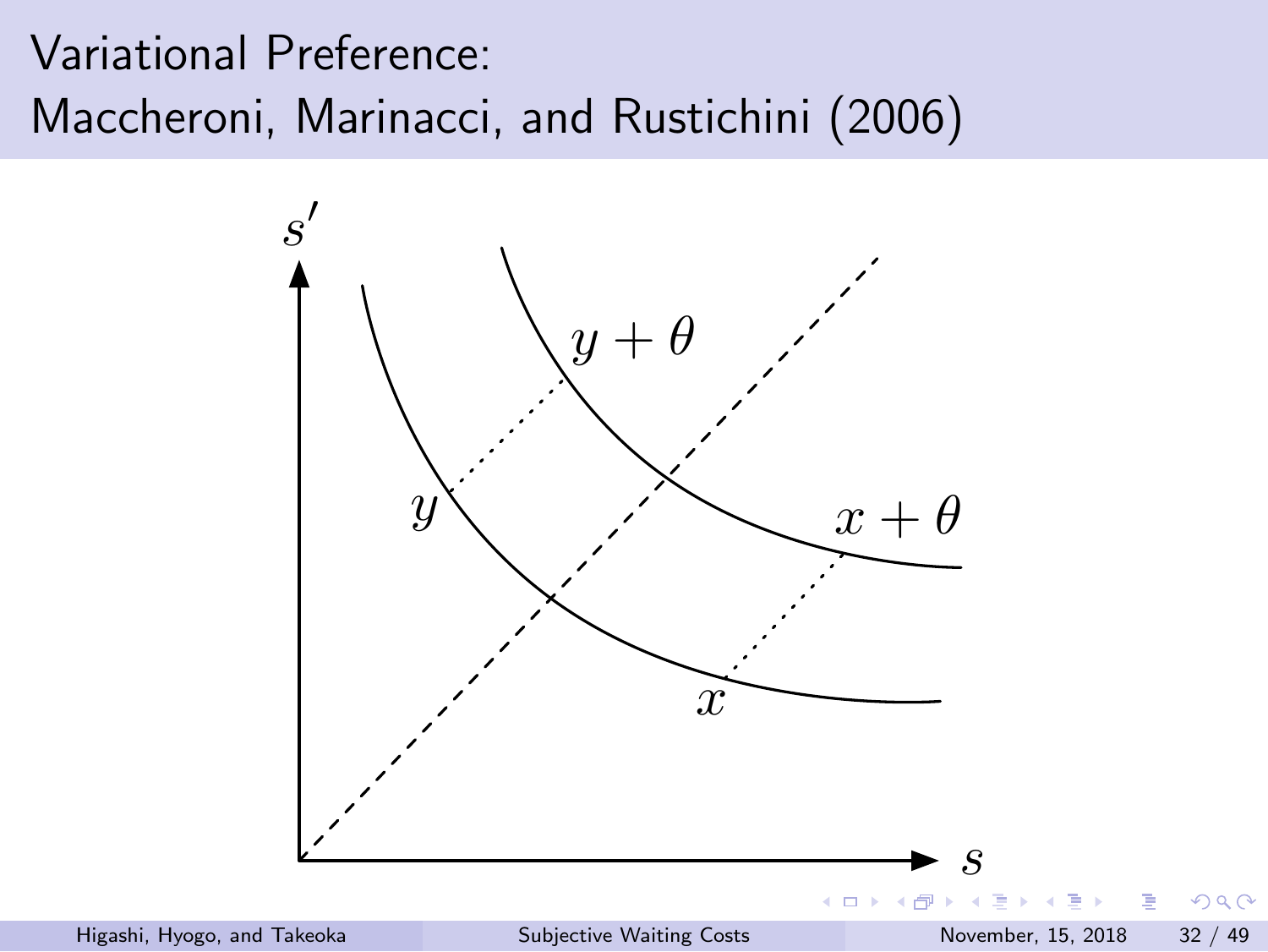Variational Preference: Maccheroni, Marinacci, and Rustichini (2006)

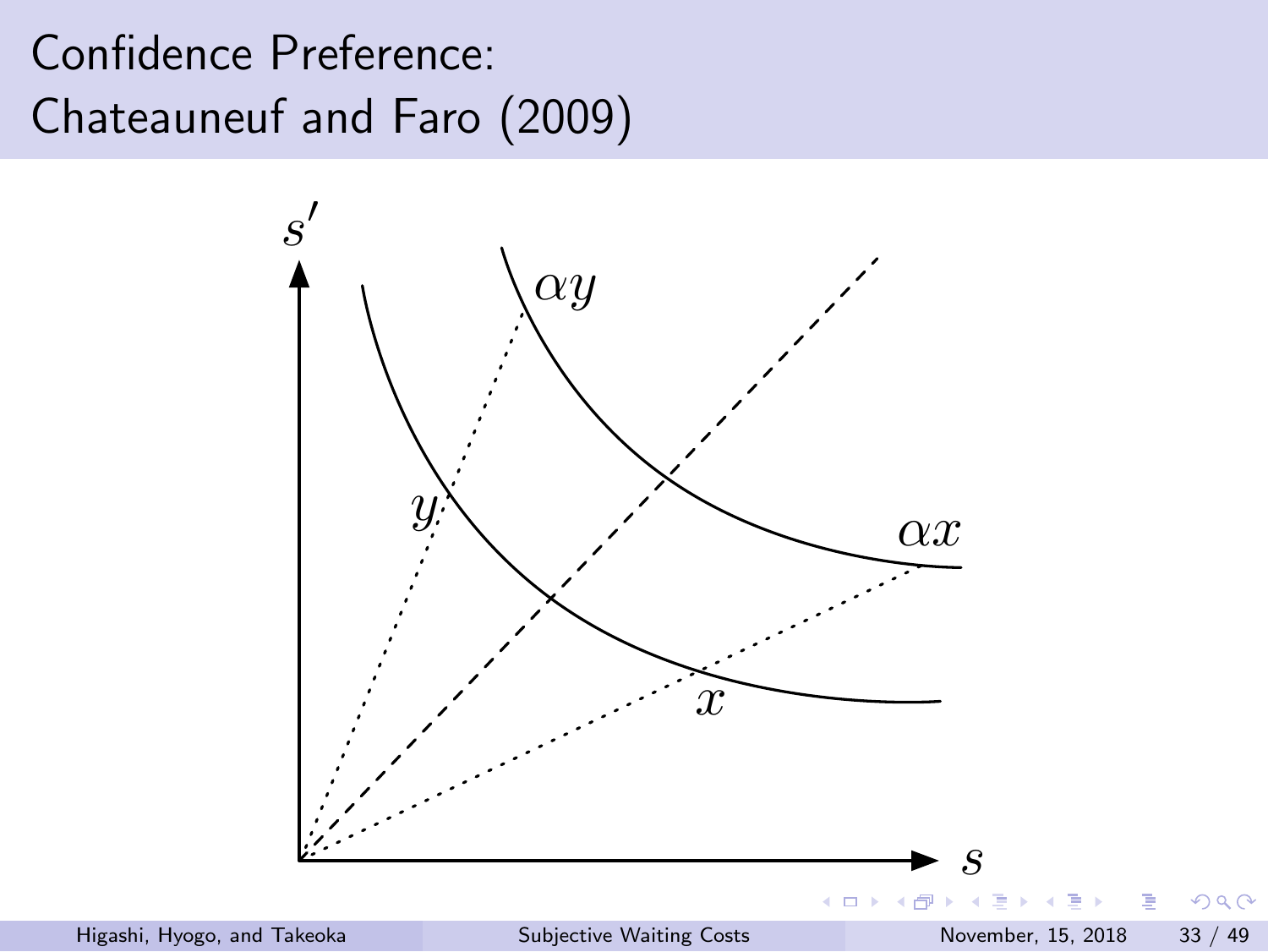# Confidence Preference: Chateauneuf and Faro (2009)

![](_page_32_Figure_1.jpeg)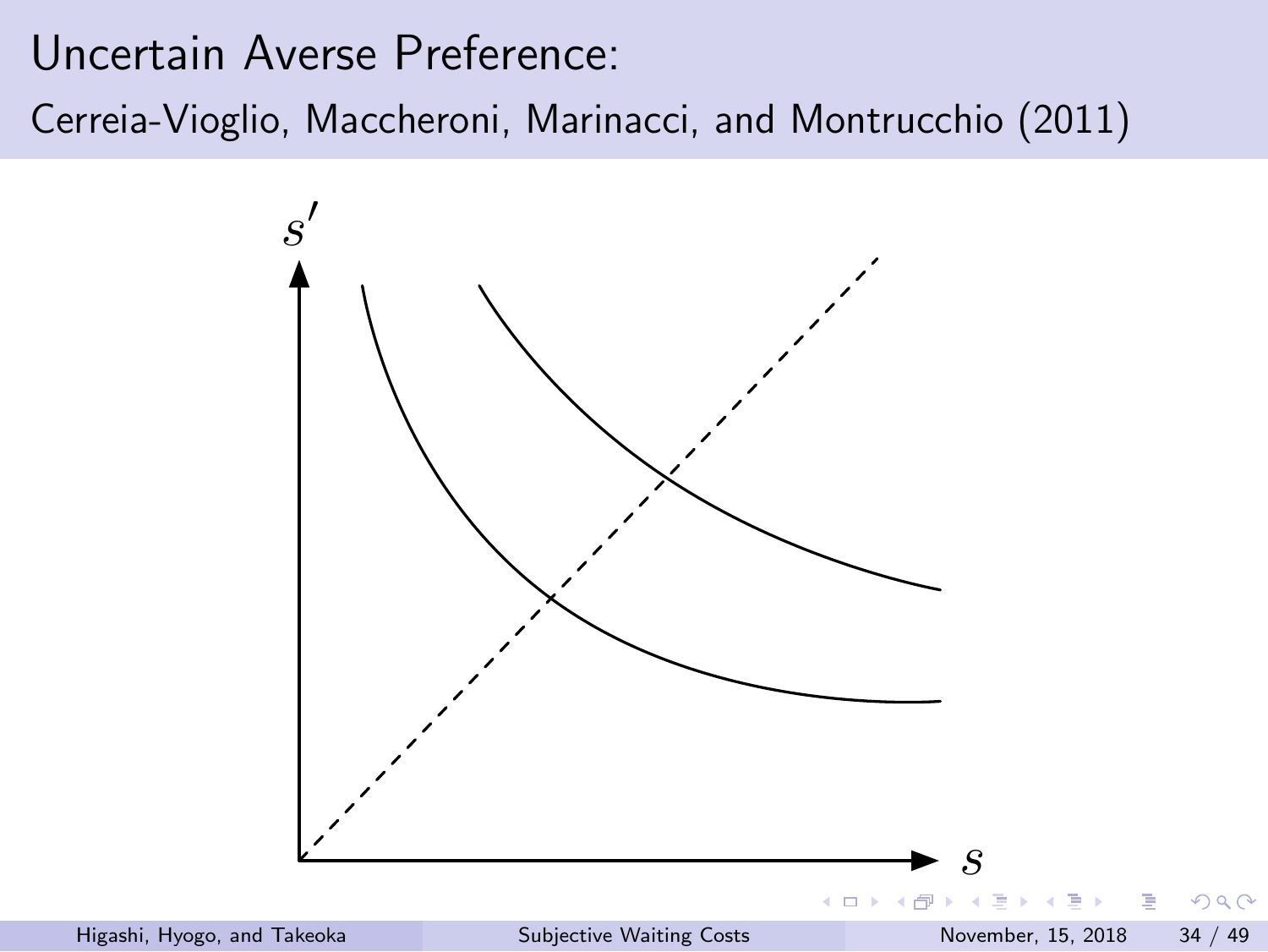Uncertain Averse Preference: Cerreia-Vioglio, Maccheroni, Marinacci, and Montrucchio (2011)

![](_page_33_Figure_1.jpeg)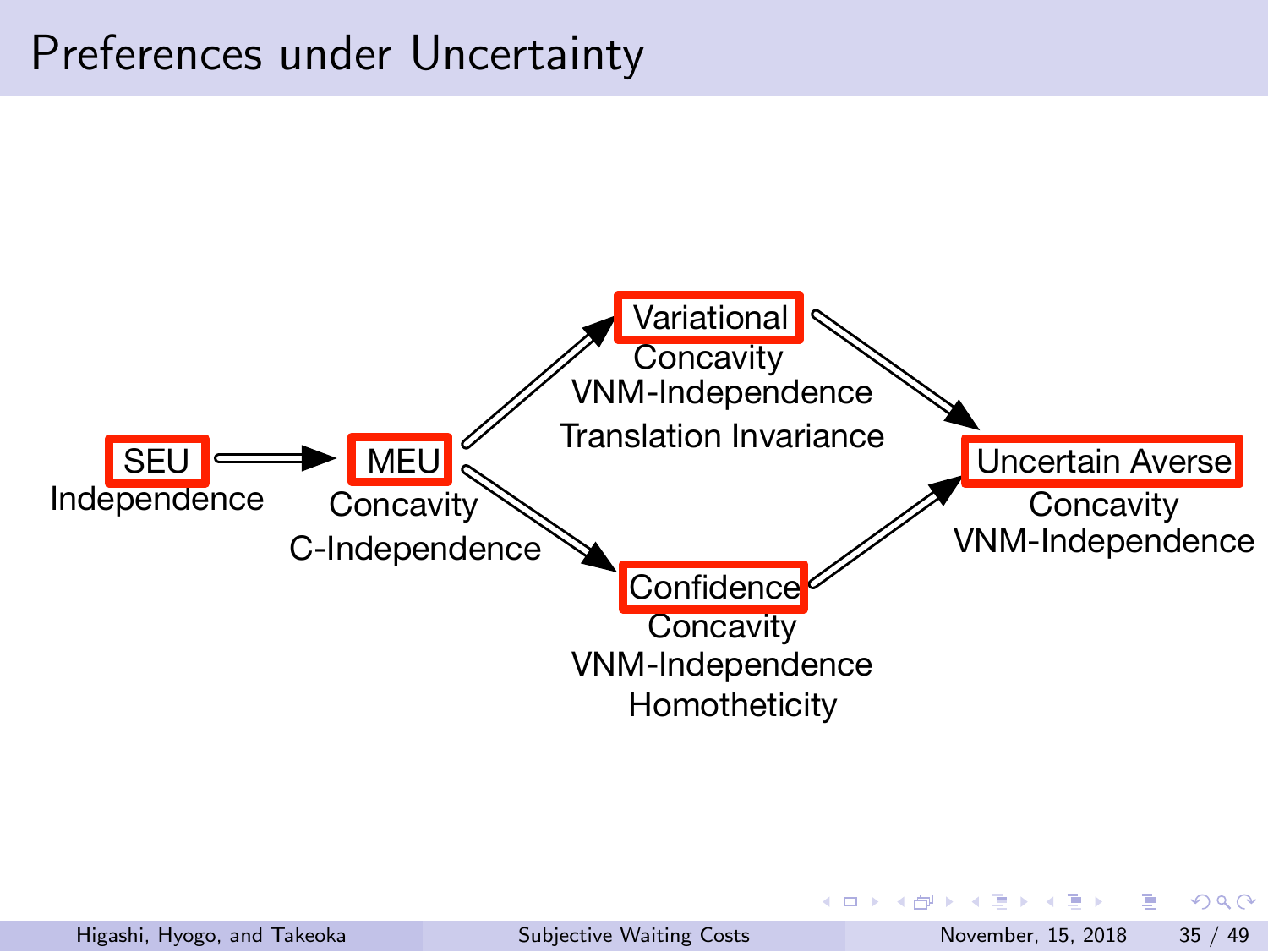![](_page_34_Figure_0.jpeg)

![](_page_34_Figure_1.jpeg)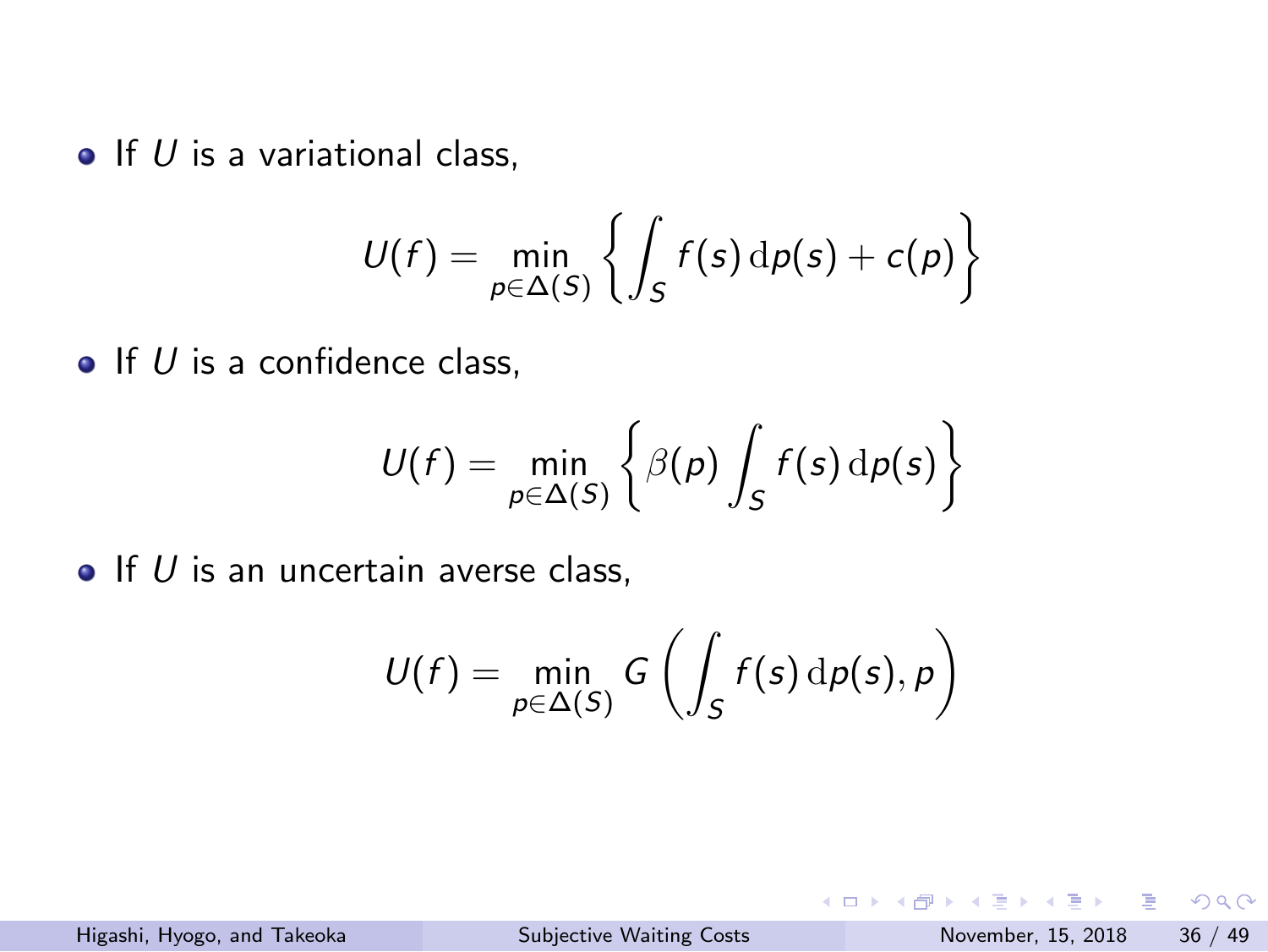$\bullet$  If *U* is a variational class,

$$
U(f) = \min_{p \in \Delta(S)} \left\{ \int_S f(s) \, \mathrm{d}p(s) + c(p) \right\}
$$

 $\bullet$  If  $U$  is a confidence class,

$$
U(f) = \min_{p \in \Delta(S)} \left\{ \beta(p) \int_S f(s) \, dp(s) \right\}
$$

 $\bullet$  If *U* is an uncertain averse class,

$$
U(f) = \min_{p \in \Delta(S)} G\left(\int_S f(s) \, \mathrm{d}p(s), p\right)
$$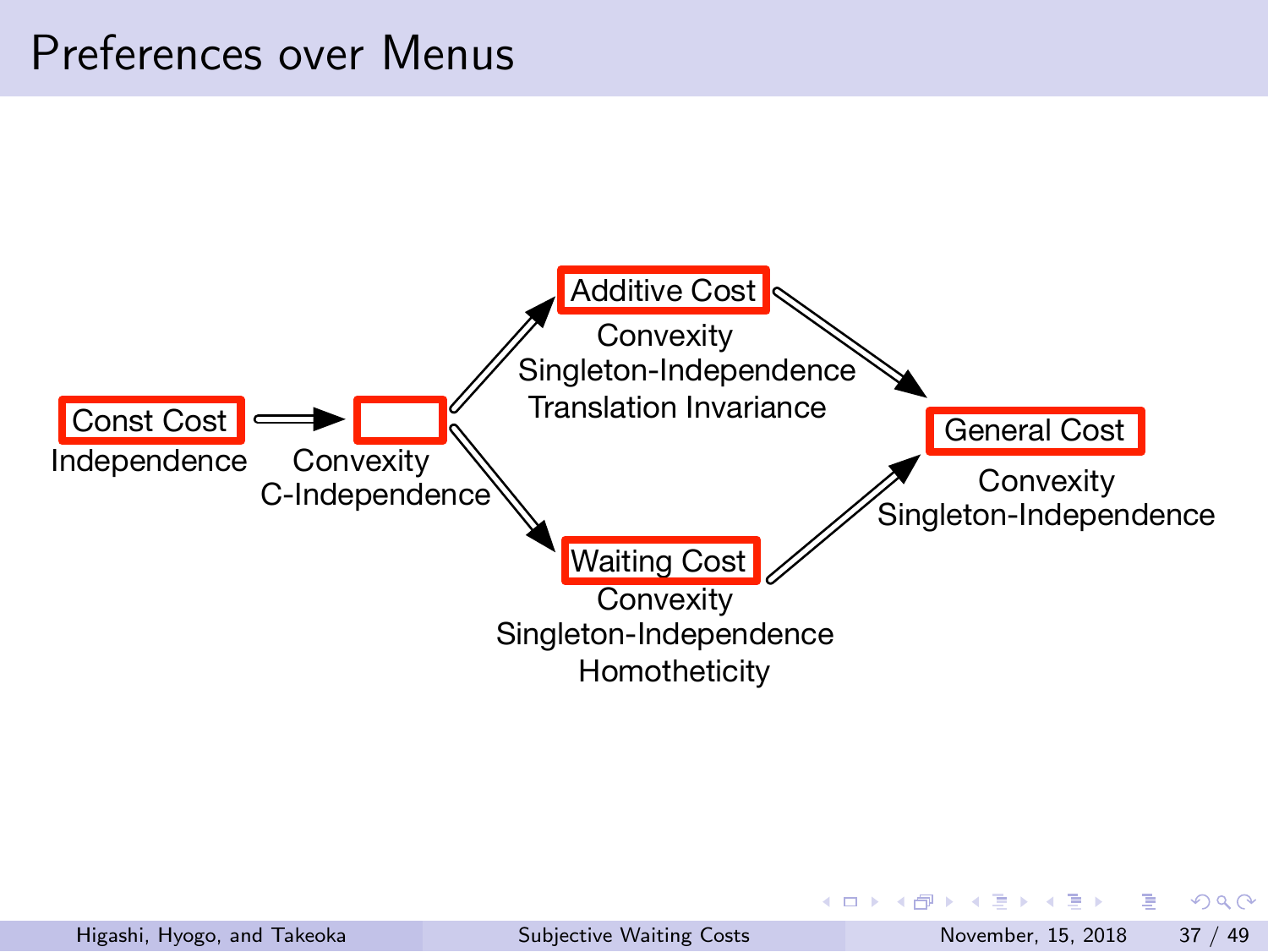## Preferences over Menus

![](_page_36_Figure_1.jpeg)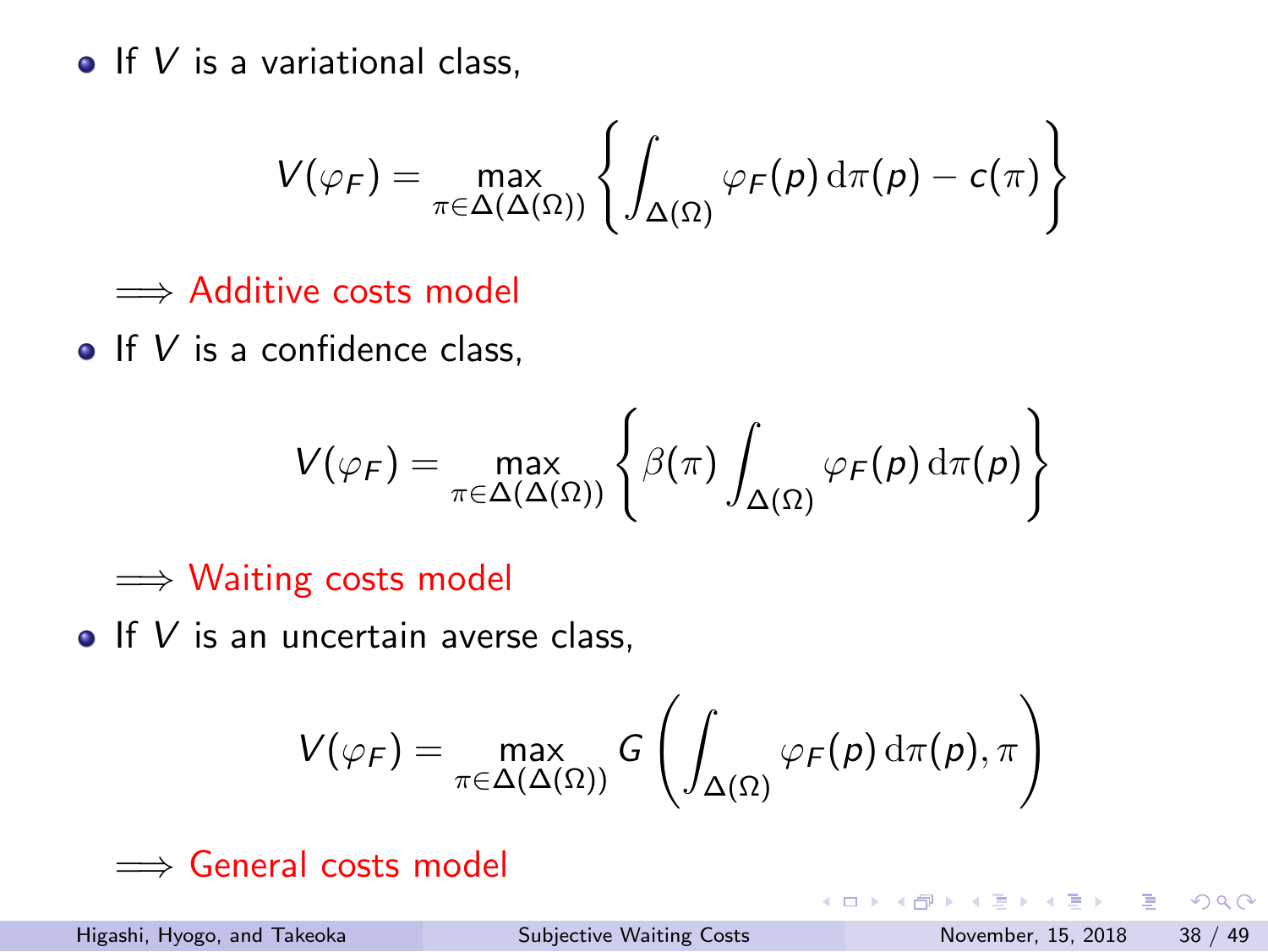**If** *V* is a variational class,

$$
V(\varphi_F) = \max_{\pi \in \Delta(\Delta(\Omega))} \left\{ \int_{\Delta(\Omega)} \varphi_F(p) \, d\pi(p) - c(\pi) \right\}
$$

=*⇒* Additive costs model

**If V** is a confidence class,

$$
V(\varphi_F) = \max_{\pi \in \Delta(\Delta(\Omega))} \left\{ \beta(\pi) \int_{\Delta(\Omega)} \varphi_F(p) \, \mathrm{d}\pi(p) \right\}
$$

=*⇒* Waiting costs model

**If V** is an uncertain averse class,

$$
V(\varphi_F) = \max_{\pi \in \Delta(\Delta(\Omega))} G\left(\int_{\Delta(\Omega)} \varphi_F(p) \, \mathrm{d}\pi(p), \pi\right)
$$

=*⇒* General costs model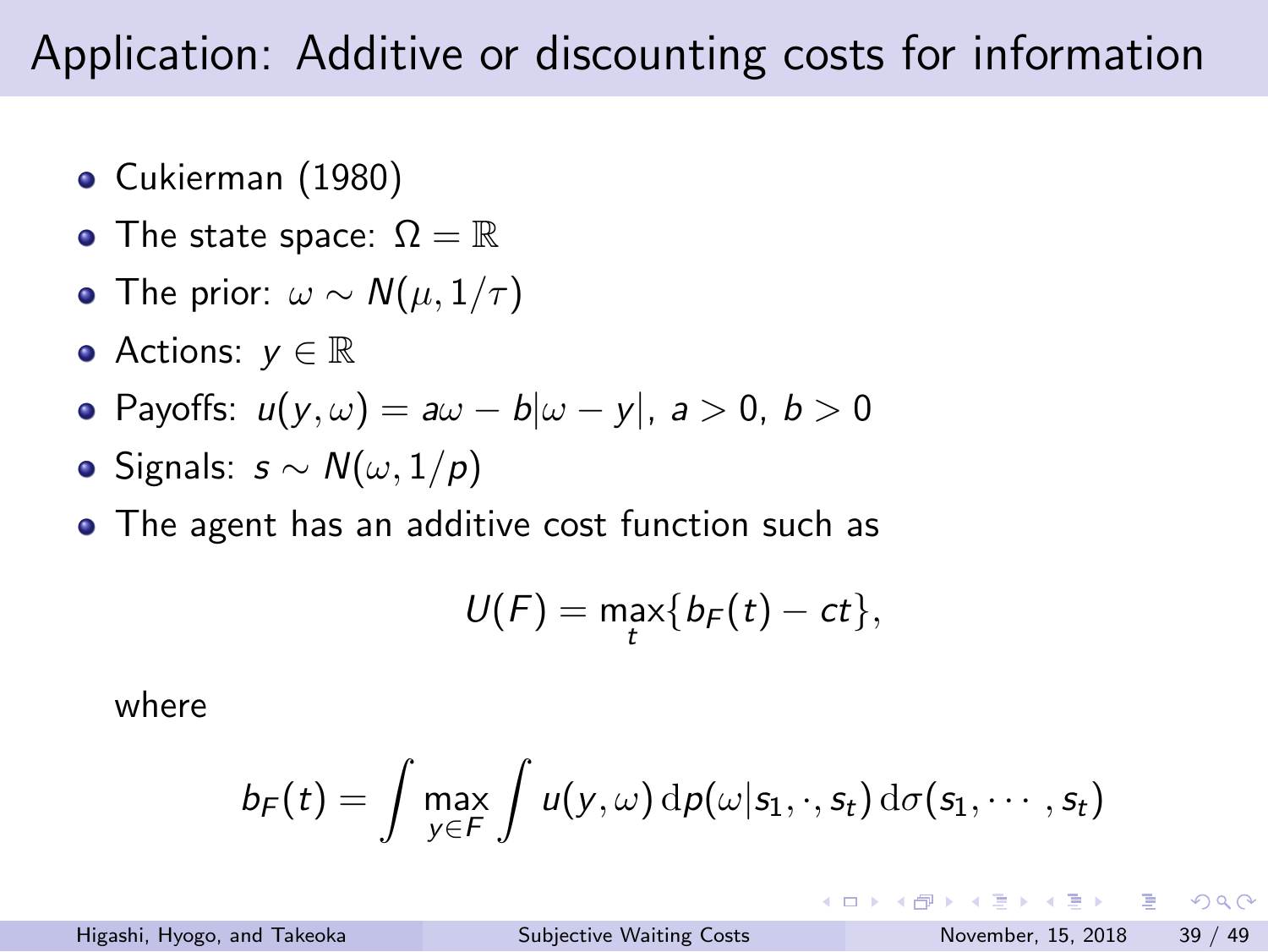## Application: Additive or discounting costs for information

- Cukierman (1980)
- The state space:  $\Omega = \mathbb{R}$
- The prior: *ω ∼ N*(*µ,* 1*/τ* )
- Actions: *y ∈* R
- Payoffs: *u*(*y, ω*) = *aω − b|ω − y|*, *a >* 0, *b >* 0
- Signals: *s ∼ N*(*ω,* 1*/p*)
- The agent has an additive cost function such as

$$
U(F)=\max_{t}\{b_F(t)-ct\},
$$

where

$$
b_F(t) = \int \max_{y \in F} \int u(y, \omega) \, d\rho(\omega|s_1, \cdot, s_t) \, d\sigma(s_1, \cdots, s_t)
$$

KOKK@KKEKKEK E 1990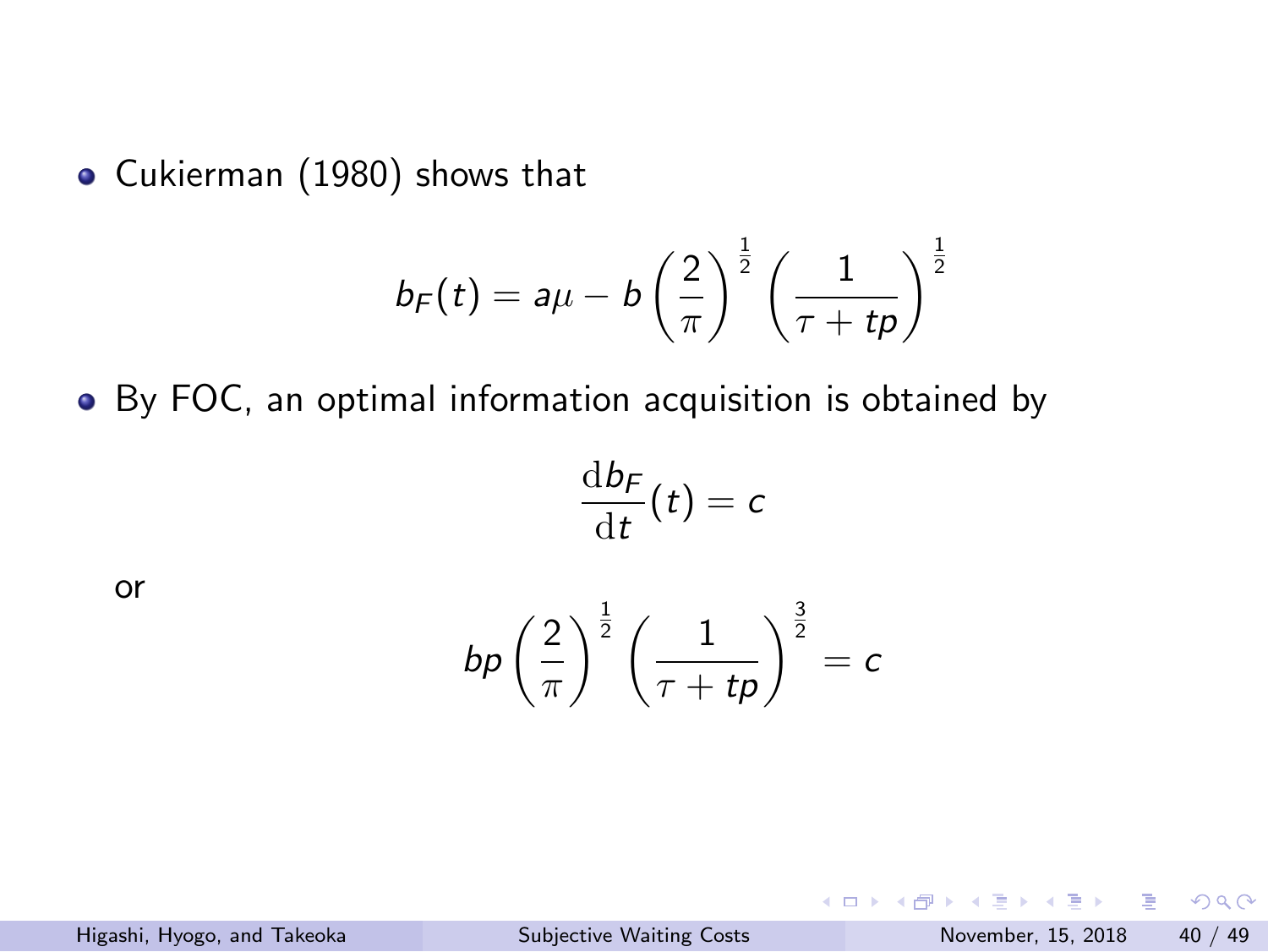Cukierman (1980) shows that

$$
b_F(t) = a\mu - b\left(\frac{2}{\pi}\right)^{\frac{1}{2}}\left(\frac{1}{\tau + tp}\right)^{\frac{1}{2}}
$$

By FOC, an optimal information acquisition is obtained by

d*b<sup>F</sup>*

or

$$
bp\left(\frac{2}{\pi}\right)^{\frac{1}{2}}\left(\frac{1}{\tau+tp}\right)^{\frac{3}{2}}=c
$$

 $\frac{dP}{dt}(t) = c$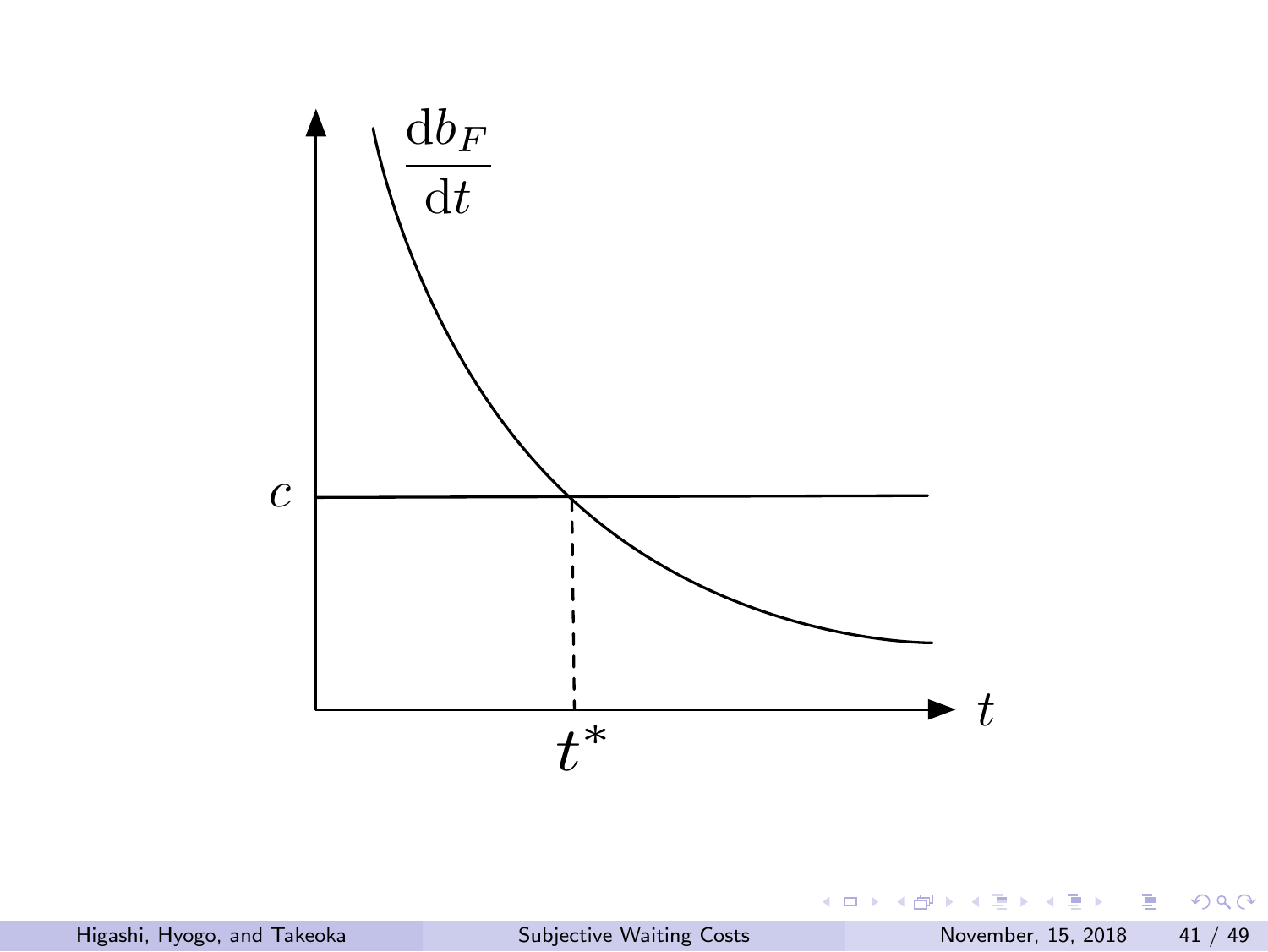![](_page_40_Figure_0.jpeg)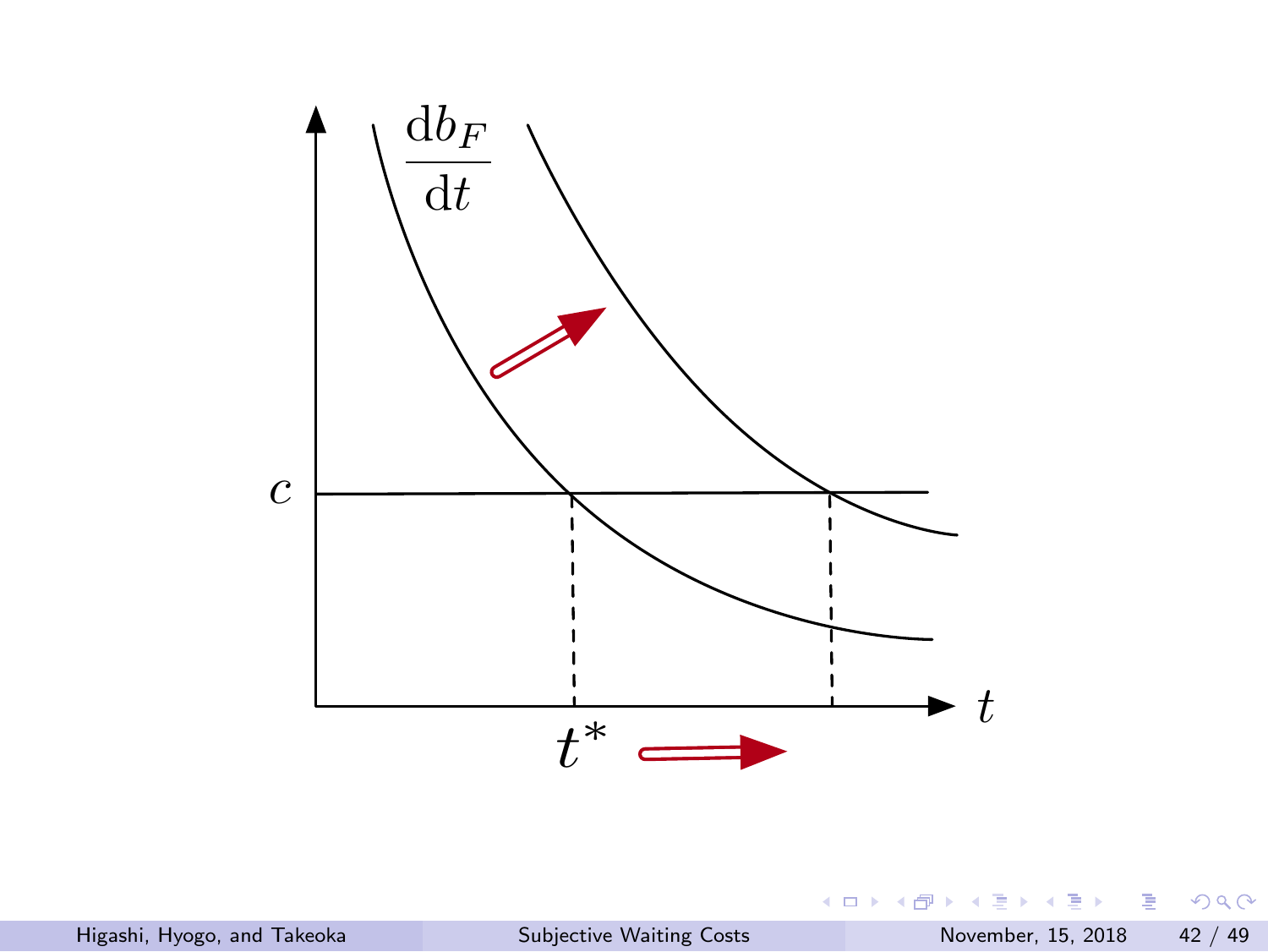![](_page_41_Figure_0.jpeg)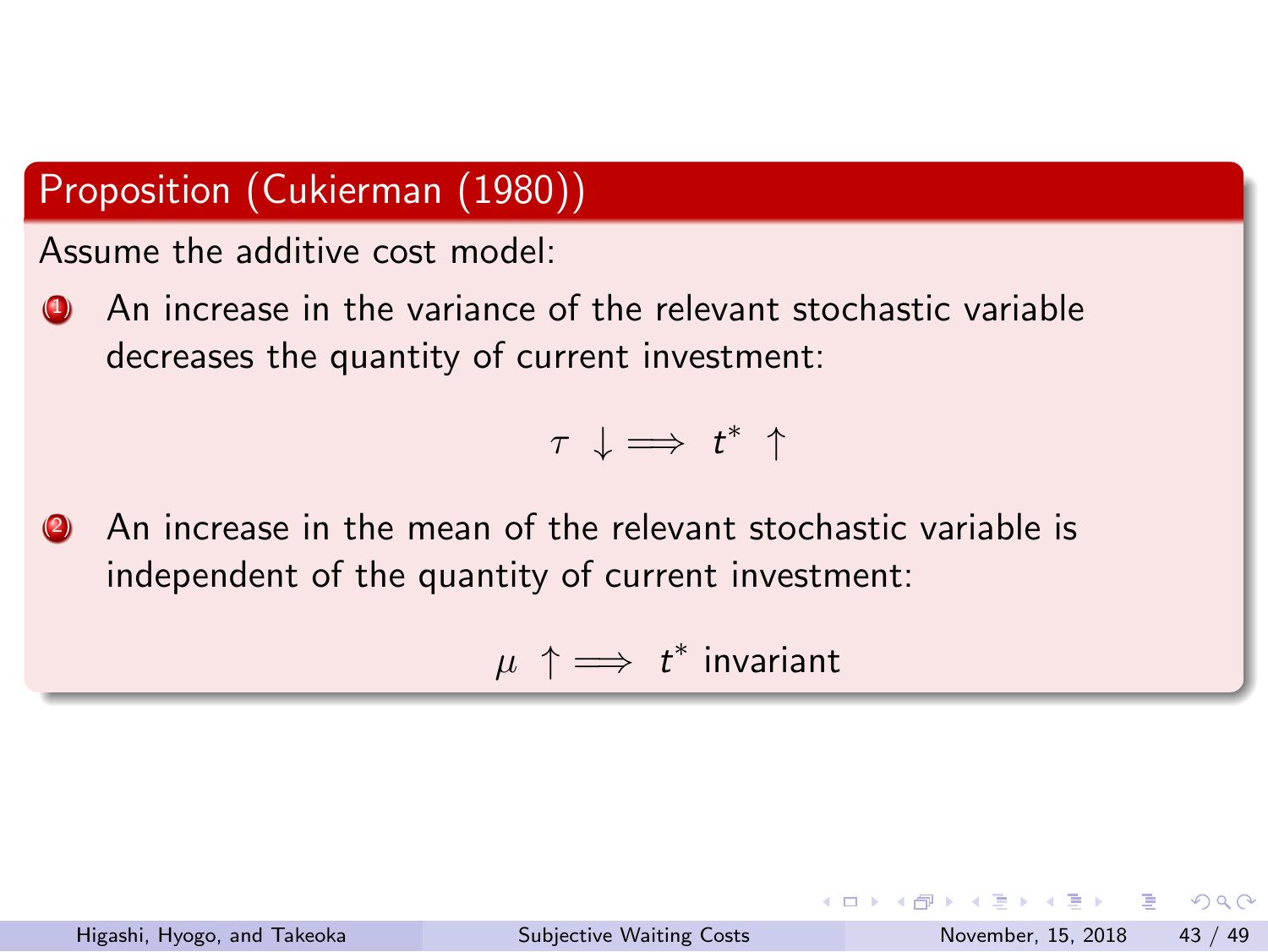#### Proposition (Cukierman (1980))

Assume the additive cost model:

**4** An increase in the variance of the relevant stochastic variable decreases the quantity of current investment:

$$
\tau \ \downarrow \Longrightarrow \ t^* \ \uparrow
$$

(2) An increase in the mean of the relevant stochastic variable is independent of the quantity of current investment:

 $\mu \uparrow \implies t^*$  invariant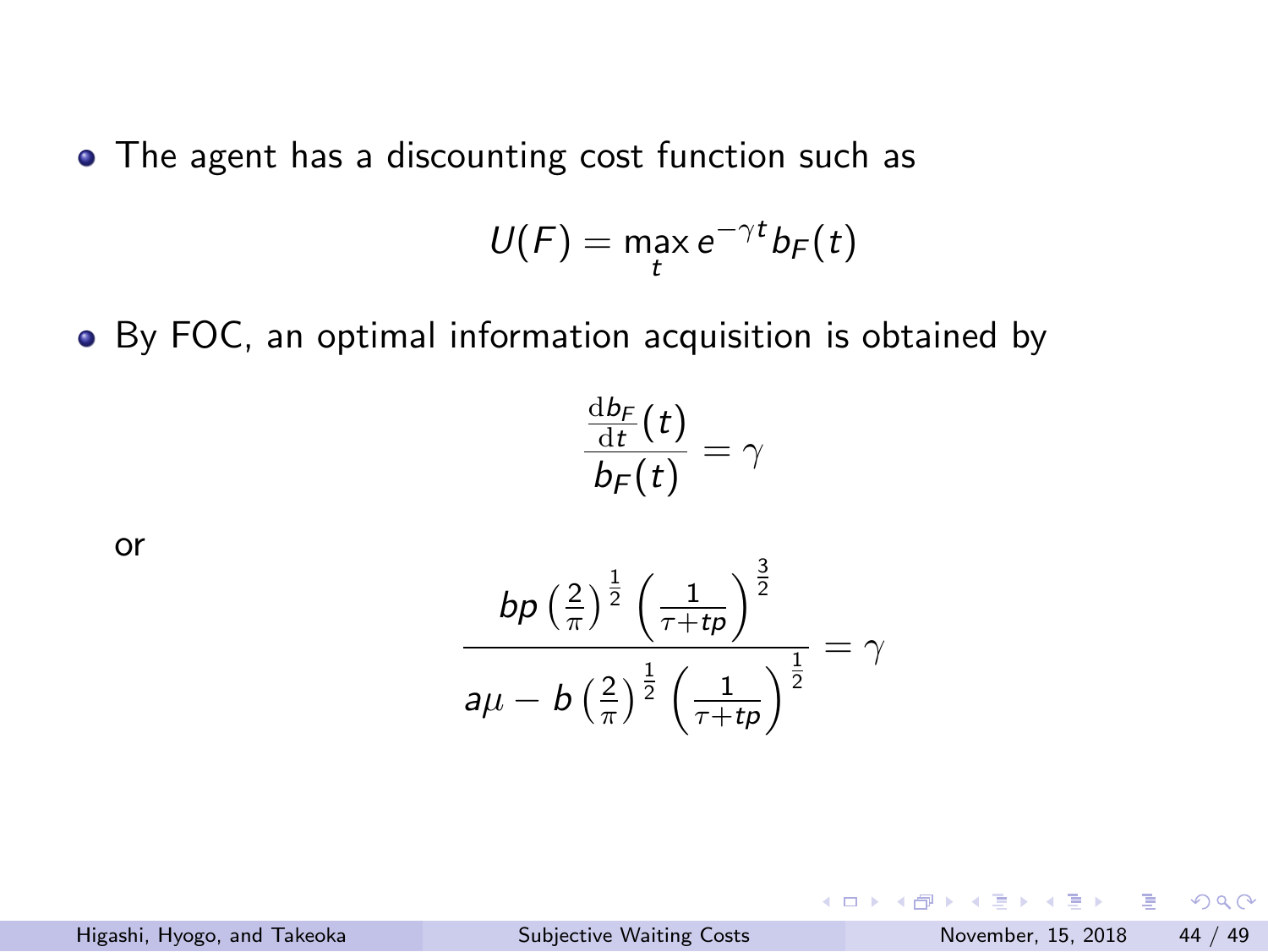The agent has a discounting cost function such as

$$
U(F) = \max_t e^{-\gamma t} b_F(t)
$$

By FOC, an optimal information acquisition is obtained by

$$
\frac{\frac{\mathrm{d}b_F}{\mathrm{d}t}(t)}{b_F(t)}=\gamma
$$

or

$$
\frac{bp\left(\frac{2}{\pi}\right)^{\frac{1}{2}}\left(\frac{1}{\tau+t\rho}\right)^{\frac{3}{2}}}{a\mu-b\left(\frac{2}{\pi}\right)^{\frac{1}{2}}\left(\frac{1}{\tau+t\rho}\right)^{\frac{1}{2}}}=\gamma
$$

KOKK@KKEKKEK E 1990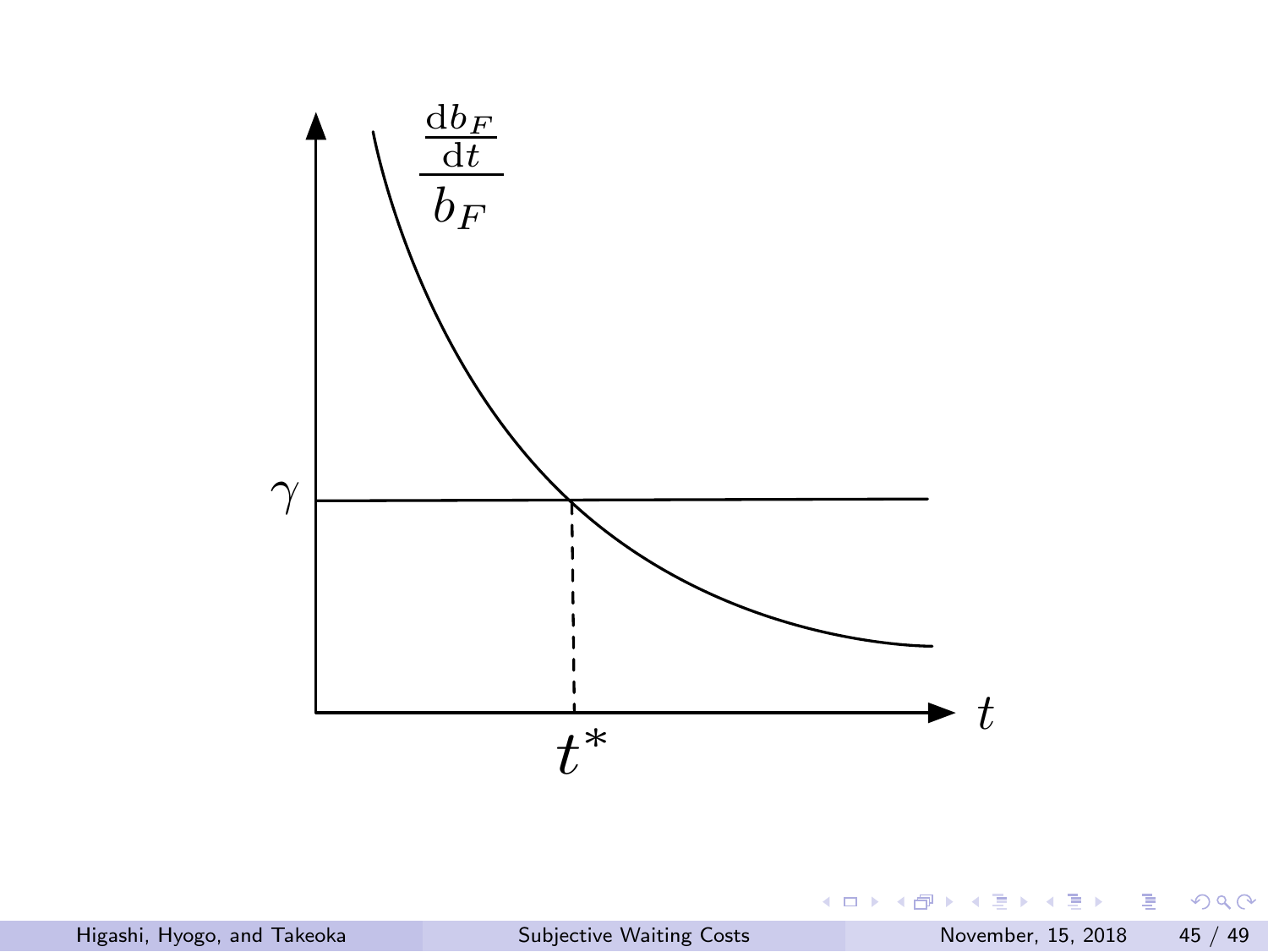![](_page_44_Figure_0.jpeg)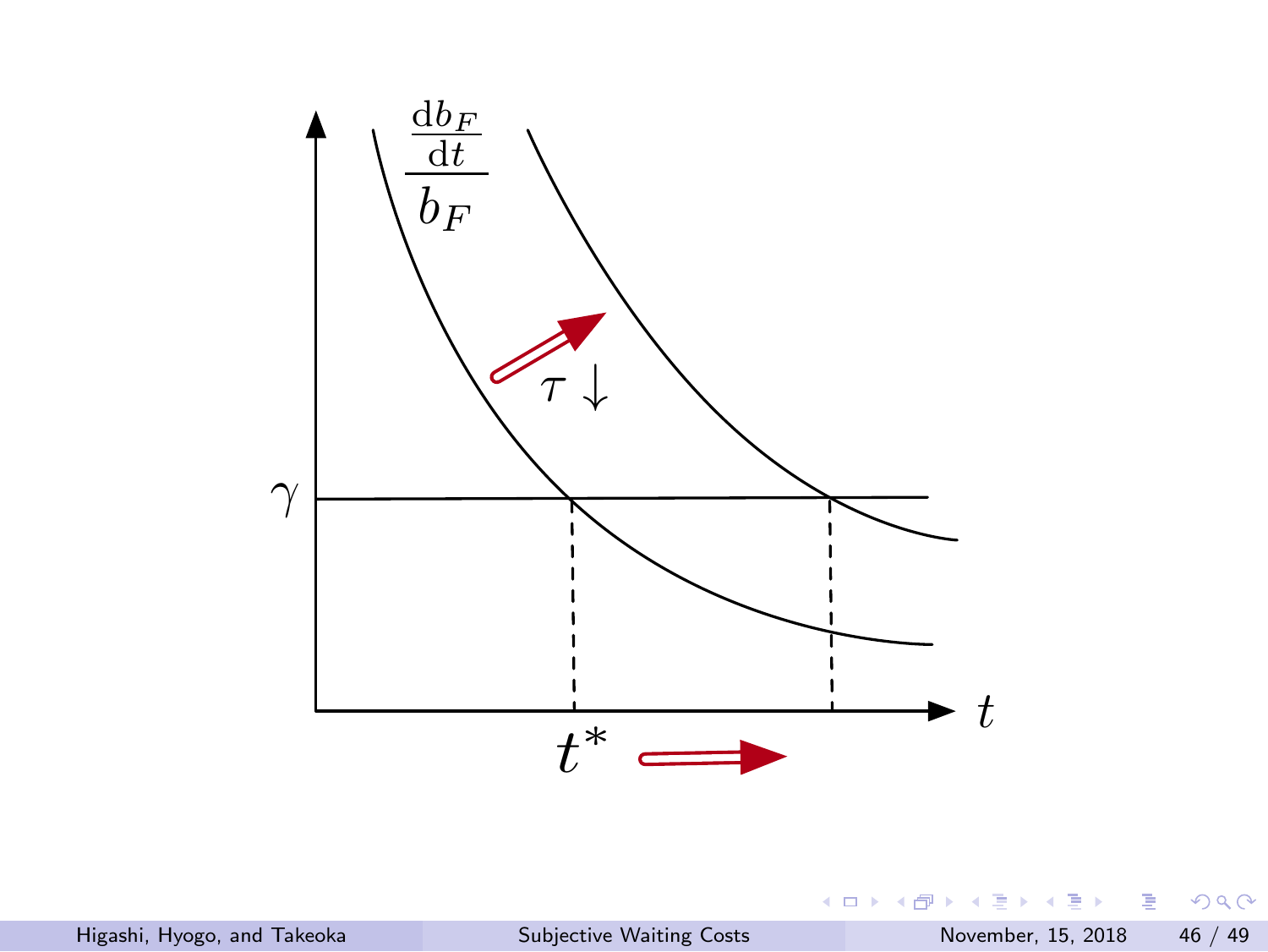![](_page_45_Figure_0.jpeg)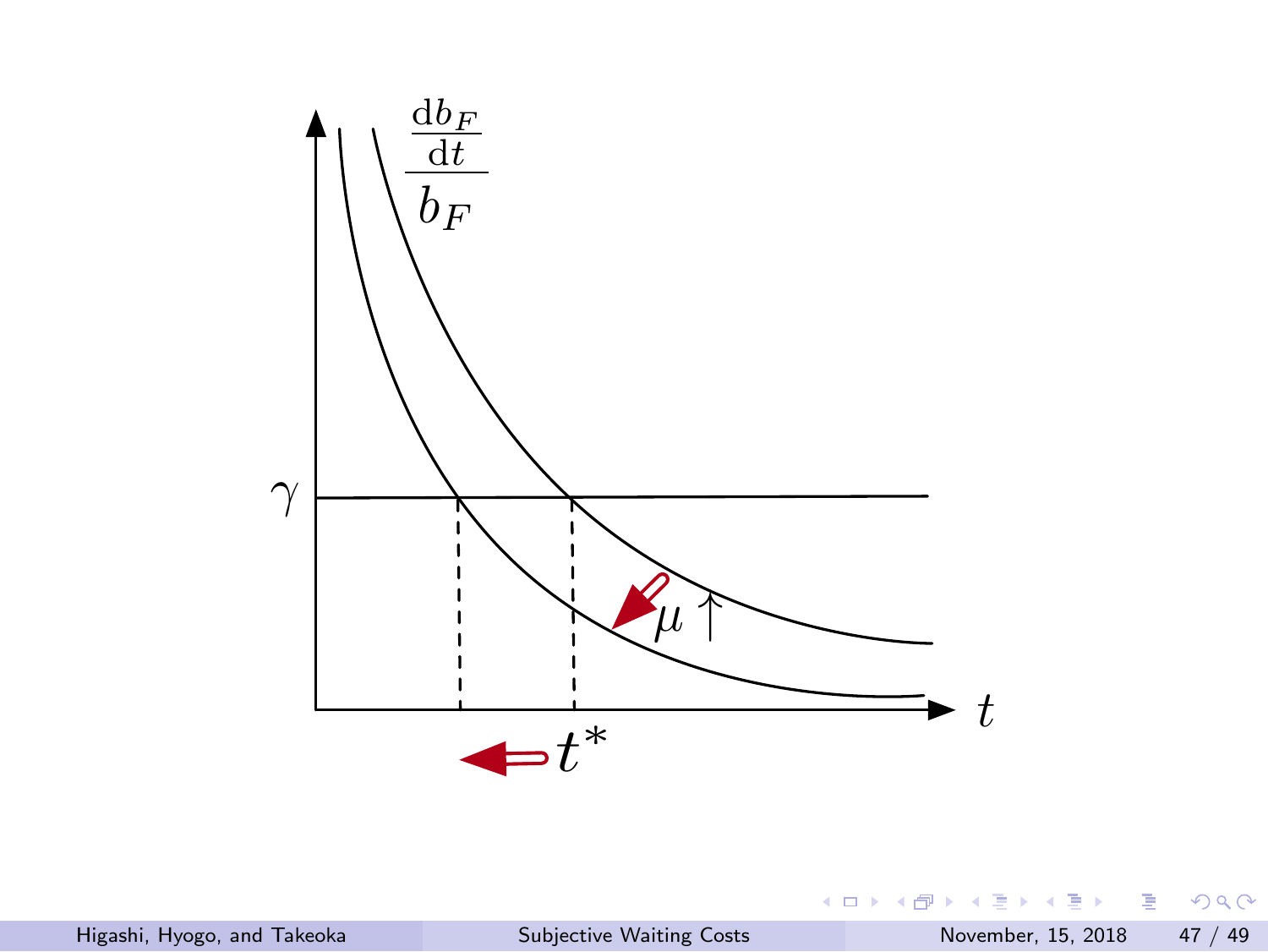![](_page_46_Figure_0.jpeg)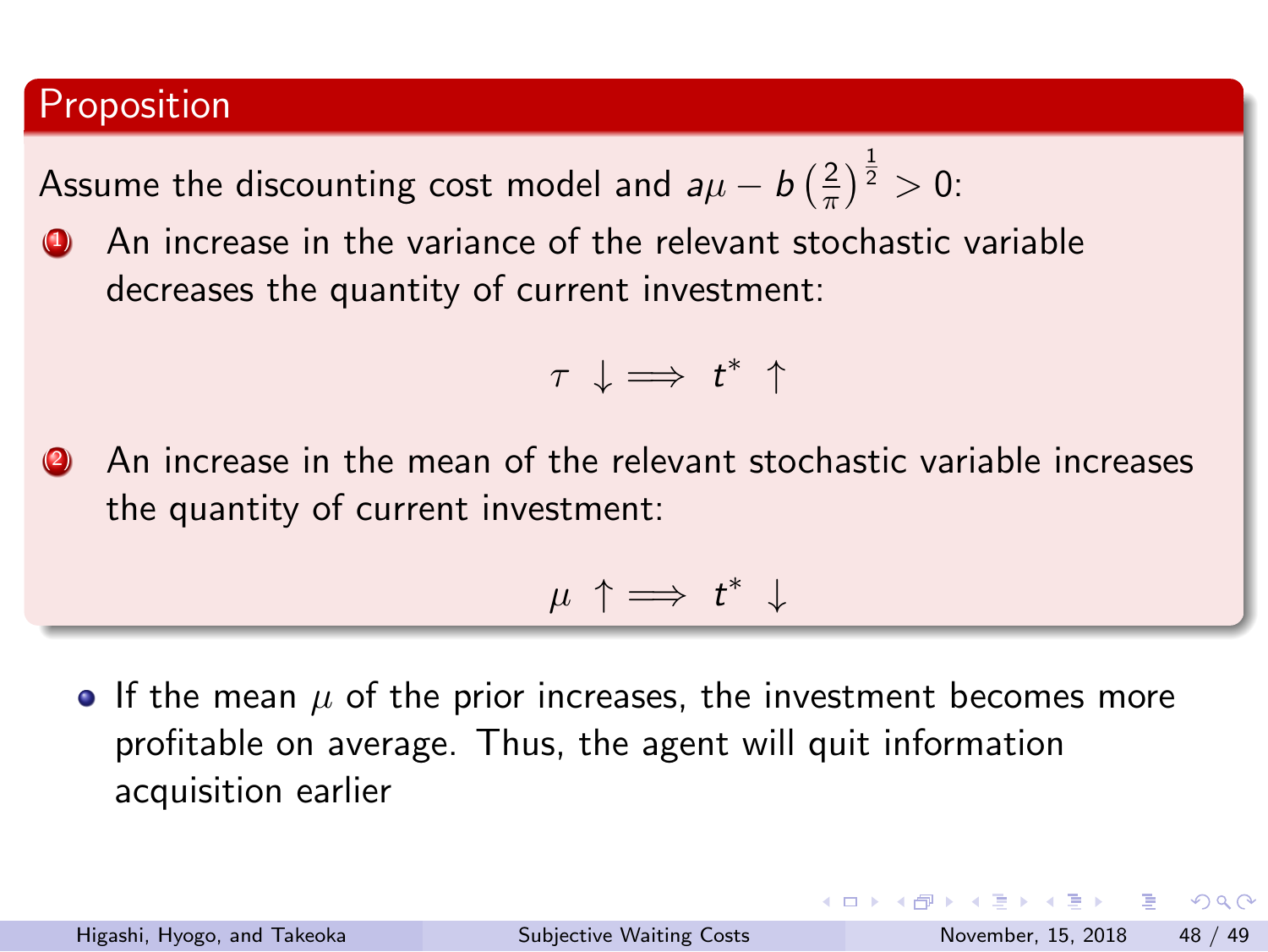#### Proposition

Assume the discounting cost model and  $a\mu - b$  ( $\frac{2}{\pi}$  $\frac{2}{\pi}$ ) $\frac{1}{2}$  > 0:

**4** An increase in the variance of the relevant stochastic variable decreases the quantity of current investment:

*τ ↓* =*⇒ t ∗ ↑*

**(2)** An increase in the mean of the relevant stochastic variable increases the quantity of current investment:

*µ ↑* =*⇒ t ∗ ↓*

**•** If the mean  $\mu$  of the prior increases, the investment becomes more profitable on average. Thus, the agent will quit information acquisition earlier

KOKK@KKEKKEK E 1990